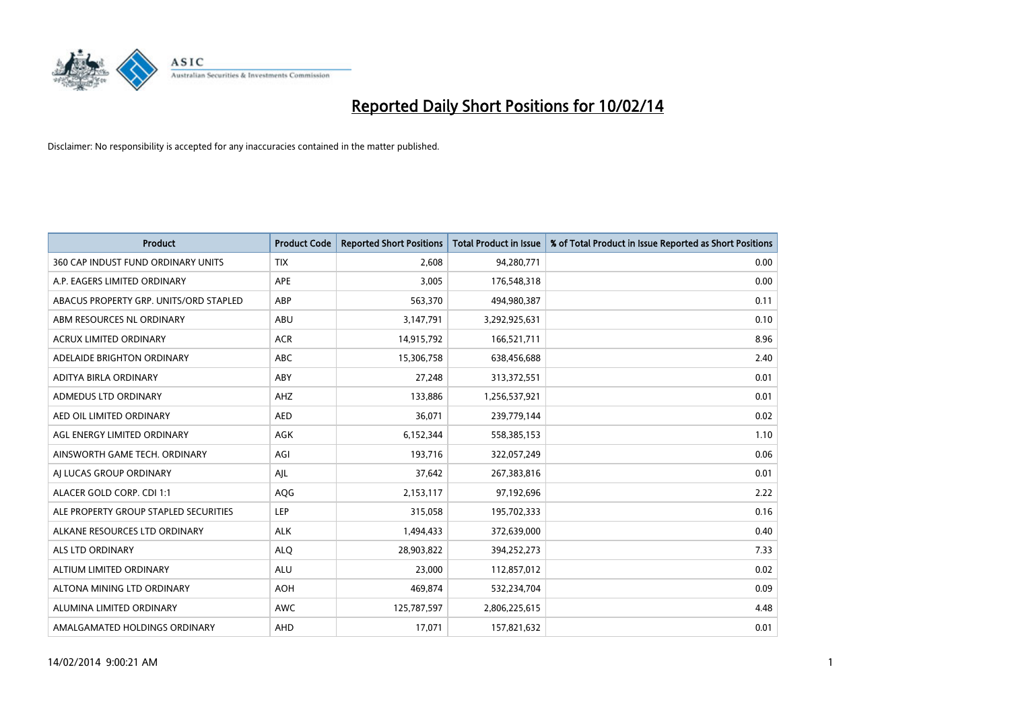

| <b>Product</b>                         | <b>Product Code</b> | <b>Reported Short Positions</b> | <b>Total Product in Issue</b> | % of Total Product in Issue Reported as Short Positions |
|----------------------------------------|---------------------|---------------------------------|-------------------------------|---------------------------------------------------------|
| 360 CAP INDUST FUND ORDINARY UNITS     | <b>TIX</b>          | 2,608                           | 94,280,771                    | 0.00                                                    |
| A.P. EAGERS LIMITED ORDINARY           | APE                 | 3,005                           | 176,548,318                   | 0.00                                                    |
| ABACUS PROPERTY GRP. UNITS/ORD STAPLED | ABP                 | 563,370                         | 494,980,387                   | 0.11                                                    |
| ABM RESOURCES NL ORDINARY              | ABU                 | 3,147,791                       | 3,292,925,631                 | 0.10                                                    |
| <b>ACRUX LIMITED ORDINARY</b>          | <b>ACR</b>          | 14,915,792                      | 166,521,711                   | 8.96                                                    |
| ADELAIDE BRIGHTON ORDINARY             | <b>ABC</b>          | 15,306,758                      | 638,456,688                   | 2.40                                                    |
| ADITYA BIRLA ORDINARY                  | ABY                 | 27,248                          | 313,372,551                   | 0.01                                                    |
| ADMEDUS LTD ORDINARY                   | AHZ                 | 133,886                         | 1,256,537,921                 | 0.01                                                    |
| AED OIL LIMITED ORDINARY               | <b>AED</b>          | 36,071                          | 239,779,144                   | 0.02                                                    |
| AGL ENERGY LIMITED ORDINARY            | <b>AGK</b>          | 6,152,344                       | 558,385,153                   | 1.10                                                    |
| AINSWORTH GAME TECH. ORDINARY          | AGI                 | 193,716                         | 322,057,249                   | 0.06                                                    |
| AI LUCAS GROUP ORDINARY                | AJL                 | 37,642                          | 267,383,816                   | 0.01                                                    |
| ALACER GOLD CORP. CDI 1:1              | AQG                 | 2,153,117                       | 97,192,696                    | 2.22                                                    |
| ALE PROPERTY GROUP STAPLED SECURITIES  | LEP                 | 315,058                         | 195,702,333                   | 0.16                                                    |
| ALKANE RESOURCES LTD ORDINARY          | <b>ALK</b>          | 1,494,433                       | 372,639,000                   | 0.40                                                    |
| ALS LTD ORDINARY                       | <b>ALQ</b>          | 28,903,822                      | 394,252,273                   | 7.33                                                    |
| ALTIUM LIMITED ORDINARY                | <b>ALU</b>          | 23,000                          | 112,857,012                   | 0.02                                                    |
| ALTONA MINING LTD ORDINARY             | <b>AOH</b>          | 469,874                         | 532,234,704                   | 0.09                                                    |
| ALUMINA LIMITED ORDINARY               | <b>AWC</b>          | 125,787,597                     | 2,806,225,615                 | 4.48                                                    |
| AMALGAMATED HOLDINGS ORDINARY          | AHD                 | 17,071                          | 157,821,632                   | 0.01                                                    |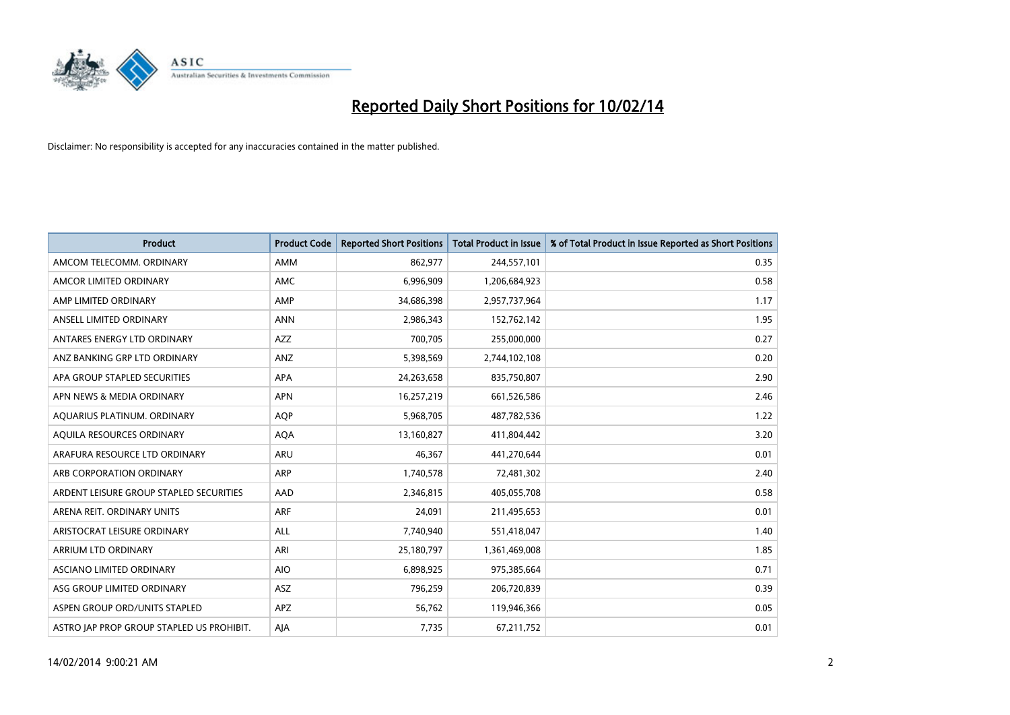

| Product                                   | <b>Product Code</b> | <b>Reported Short Positions</b> | <b>Total Product in Issue</b> | % of Total Product in Issue Reported as Short Positions |
|-------------------------------------------|---------------------|---------------------------------|-------------------------------|---------------------------------------------------------|
| AMCOM TELECOMM. ORDINARY                  | AMM                 | 862,977                         | 244,557,101                   | 0.35                                                    |
| AMCOR LIMITED ORDINARY                    | AMC                 | 6,996,909                       | 1,206,684,923                 | 0.58                                                    |
| AMP LIMITED ORDINARY                      | AMP                 | 34,686,398                      | 2,957,737,964                 | 1.17                                                    |
| ANSELL LIMITED ORDINARY                   | <b>ANN</b>          | 2,986,343                       | 152,762,142                   | 1.95                                                    |
| ANTARES ENERGY LTD ORDINARY               | AZZ                 | 700,705                         | 255,000,000                   | 0.27                                                    |
| ANZ BANKING GRP LTD ORDINARY              | ANZ                 | 5,398,569                       | 2,744,102,108                 | 0.20                                                    |
| APA GROUP STAPLED SECURITIES              | <b>APA</b>          | 24,263,658                      | 835,750,807                   | 2.90                                                    |
| APN NEWS & MEDIA ORDINARY                 | <b>APN</b>          | 16,257,219                      | 661,526,586                   | 2.46                                                    |
| AQUARIUS PLATINUM. ORDINARY               | <b>AOP</b>          | 5,968,705                       | 487,782,536                   | 1.22                                                    |
| AQUILA RESOURCES ORDINARY                 | <b>AQA</b>          | 13,160,827                      | 411,804,442                   | 3.20                                                    |
| ARAFURA RESOURCE LTD ORDINARY             | <b>ARU</b>          | 46,367                          | 441,270,644                   | 0.01                                                    |
| ARB CORPORATION ORDINARY                  | ARP                 | 1,740,578                       | 72,481,302                    | 2.40                                                    |
| ARDENT LEISURE GROUP STAPLED SECURITIES   | AAD                 | 2,346,815                       | 405,055,708                   | 0.58                                                    |
| ARENA REIT. ORDINARY UNITS                | <b>ARF</b>          | 24,091                          | 211,495,653                   | 0.01                                                    |
| ARISTOCRAT LEISURE ORDINARY               | <b>ALL</b>          | 7,740,940                       | 551,418,047                   | 1.40                                                    |
| ARRIUM LTD ORDINARY                       | ARI                 | 25,180,797                      | 1,361,469,008                 | 1.85                                                    |
| ASCIANO LIMITED ORDINARY                  | <b>AIO</b>          | 6,898,925                       | 975,385,664                   | 0.71                                                    |
| ASG GROUP LIMITED ORDINARY                | ASZ                 | 796,259                         | 206,720,839                   | 0.39                                                    |
| ASPEN GROUP ORD/UNITS STAPLED             | <b>APZ</b>          | 56,762                          | 119,946,366                   | 0.05                                                    |
| ASTRO JAP PROP GROUP STAPLED US PROHIBIT. | AJA                 | 7,735                           | 67,211,752                    | 0.01                                                    |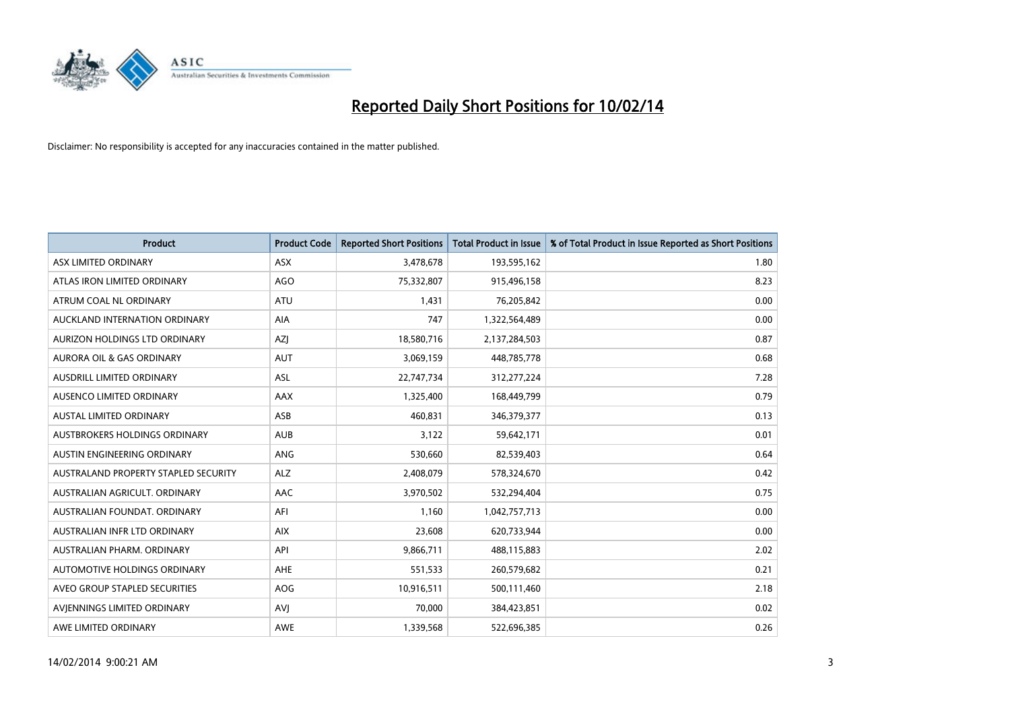

| <b>Product</b>                       | <b>Product Code</b> | <b>Reported Short Positions</b> | <b>Total Product in Issue</b> | % of Total Product in Issue Reported as Short Positions |
|--------------------------------------|---------------------|---------------------------------|-------------------------------|---------------------------------------------------------|
| ASX LIMITED ORDINARY                 | <b>ASX</b>          | 3,478,678                       | 193,595,162                   | 1.80                                                    |
| ATLAS IRON LIMITED ORDINARY          | <b>AGO</b>          | 75,332,807                      | 915,496,158                   | 8.23                                                    |
| ATRUM COAL NL ORDINARY               | <b>ATU</b>          | 1,431                           | 76,205,842                    | 0.00                                                    |
| AUCKLAND INTERNATION ORDINARY        | AIA                 | 747                             | 1,322,564,489                 | 0.00                                                    |
| AURIZON HOLDINGS LTD ORDINARY        | <b>AZI</b>          | 18,580,716                      | 2,137,284,503                 | 0.87                                                    |
| <b>AURORA OIL &amp; GAS ORDINARY</b> | <b>AUT</b>          | 3,069,159                       | 448,785,778                   | 0.68                                                    |
| AUSDRILL LIMITED ORDINARY            | ASL                 | 22,747,734                      | 312,277,224                   | 7.28                                                    |
| AUSENCO LIMITED ORDINARY             | AAX                 | 1,325,400                       | 168,449,799                   | 0.79                                                    |
| <b>AUSTAL LIMITED ORDINARY</b>       | ASB                 | 460,831                         | 346,379,377                   | 0.13                                                    |
| AUSTBROKERS HOLDINGS ORDINARY        | <b>AUB</b>          | 3,122                           | 59,642,171                    | 0.01                                                    |
| AUSTIN ENGINEERING ORDINARY          | ANG                 | 530,660                         | 82,539,403                    | 0.64                                                    |
| AUSTRALAND PROPERTY STAPLED SECURITY | <b>ALZ</b>          | 2,408,079                       | 578,324,670                   | 0.42                                                    |
| AUSTRALIAN AGRICULT. ORDINARY        | AAC                 | 3,970,502                       | 532,294,404                   | 0.75                                                    |
| AUSTRALIAN FOUNDAT, ORDINARY         | AFI                 | 1,160                           | 1,042,757,713                 | 0.00                                                    |
| AUSTRALIAN INFR LTD ORDINARY         | <b>AIX</b>          | 23,608                          | 620,733,944                   | 0.00                                                    |
| AUSTRALIAN PHARM. ORDINARY           | API                 | 9,866,711                       | 488,115,883                   | 2.02                                                    |
| AUTOMOTIVE HOLDINGS ORDINARY         | AHE                 | 551,533                         | 260,579,682                   | 0.21                                                    |
| AVEO GROUP STAPLED SECURITIES        | <b>AOG</b>          | 10,916,511                      | 500,111,460                   | 2.18                                                    |
| AVIENNINGS LIMITED ORDINARY          | <b>AVI</b>          | 70,000                          | 384,423,851                   | 0.02                                                    |
| AWE LIMITED ORDINARY                 | <b>AWE</b>          | 1,339,568                       | 522,696,385                   | 0.26                                                    |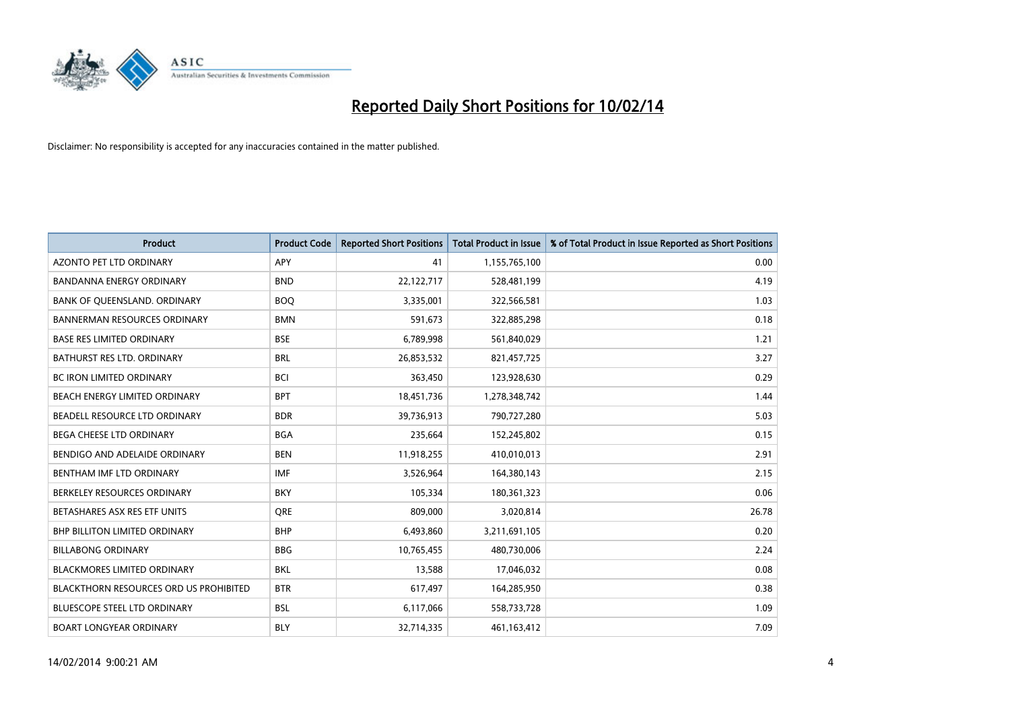

| <b>Product</b>                                | <b>Product Code</b> | <b>Reported Short Positions</b> | <b>Total Product in Issue</b> | % of Total Product in Issue Reported as Short Positions |
|-----------------------------------------------|---------------------|---------------------------------|-------------------------------|---------------------------------------------------------|
| <b>AZONTO PET LTD ORDINARY</b>                | <b>APY</b>          | 41                              | 1,155,765,100                 | 0.00                                                    |
| BANDANNA ENERGY ORDINARY                      | <b>BND</b>          | 22,122,717                      | 528,481,199                   | 4.19                                                    |
| BANK OF QUEENSLAND. ORDINARY                  | <b>BOQ</b>          | 3,335,001                       | 322,566,581                   | 1.03                                                    |
| <b>BANNERMAN RESOURCES ORDINARY</b>           | <b>BMN</b>          | 591,673                         | 322,885,298                   | 0.18                                                    |
| <b>BASE RES LIMITED ORDINARY</b>              | <b>BSE</b>          | 6,789,998                       | 561,840,029                   | 1.21                                                    |
| <b>BATHURST RES LTD. ORDINARY</b>             | <b>BRL</b>          | 26,853,532                      | 821,457,725                   | 3.27                                                    |
| <b>BC IRON LIMITED ORDINARY</b>               | <b>BCI</b>          | 363,450                         | 123,928,630                   | 0.29                                                    |
| BEACH ENERGY LIMITED ORDINARY                 | <b>BPT</b>          | 18,451,736                      | 1,278,348,742                 | 1.44                                                    |
| BEADELL RESOURCE LTD ORDINARY                 | <b>BDR</b>          | 39,736,913                      | 790,727,280                   | 5.03                                                    |
| <b>BEGA CHEESE LTD ORDINARY</b>               | <b>BGA</b>          | 235,664                         | 152,245,802                   | 0.15                                                    |
| BENDIGO AND ADELAIDE ORDINARY                 | <b>BEN</b>          | 11,918,255                      | 410,010,013                   | 2.91                                                    |
| BENTHAM IMF LTD ORDINARY                      | <b>IMF</b>          | 3,526,964                       | 164,380,143                   | 2.15                                                    |
| BERKELEY RESOURCES ORDINARY                   | <b>BKY</b>          | 105,334                         | 180,361,323                   | 0.06                                                    |
| BETASHARES ASX RES ETF UNITS                  | <b>ORE</b>          | 809,000                         | 3,020,814                     | 26.78                                                   |
| <b>BHP BILLITON LIMITED ORDINARY</b>          | <b>BHP</b>          | 6,493,860                       | 3,211,691,105                 | 0.20                                                    |
| <b>BILLABONG ORDINARY</b>                     | <b>BBG</b>          | 10,765,455                      | 480,730,006                   | 2.24                                                    |
| BLACKMORES LIMITED ORDINARY                   | <b>BKL</b>          | 13,588                          | 17,046,032                    | 0.08                                                    |
| <b>BLACKTHORN RESOURCES ORD US PROHIBITED</b> | <b>BTR</b>          | 617,497                         | 164,285,950                   | 0.38                                                    |
| <b>BLUESCOPE STEEL LTD ORDINARY</b>           | <b>BSL</b>          | 6,117,066                       | 558,733,728                   | 1.09                                                    |
| <b>BOART LONGYEAR ORDINARY</b>                | <b>BLY</b>          | 32,714,335                      | 461,163,412                   | 7.09                                                    |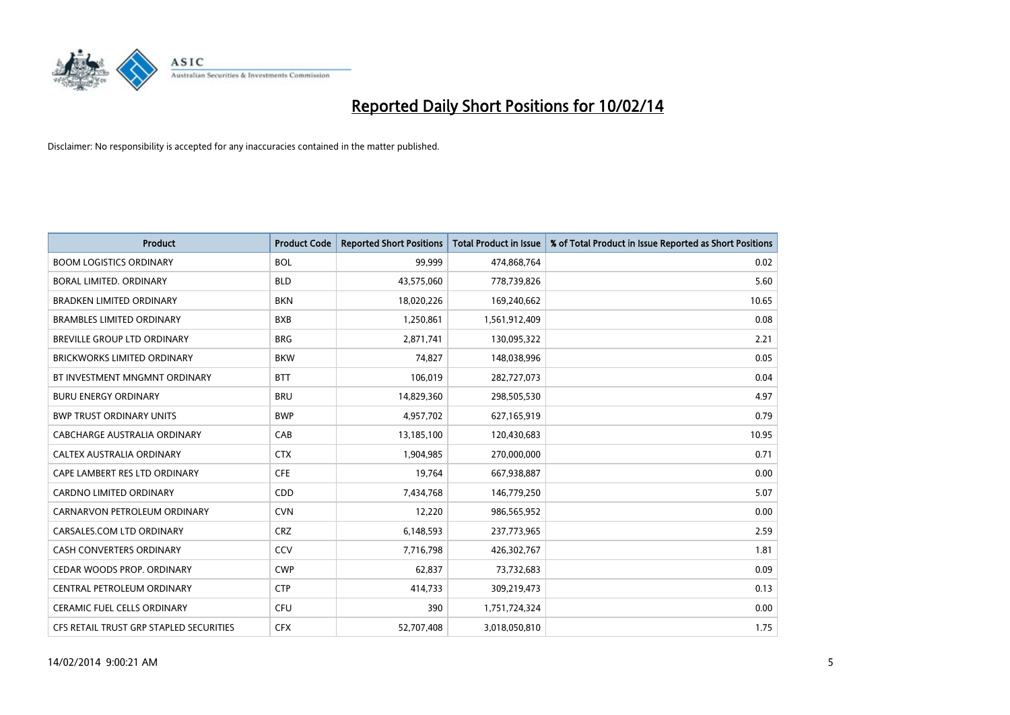

| <b>Product</b>                          | <b>Product Code</b> | <b>Reported Short Positions</b> | <b>Total Product in Issue</b> | % of Total Product in Issue Reported as Short Positions |
|-----------------------------------------|---------------------|---------------------------------|-------------------------------|---------------------------------------------------------|
| <b>BOOM LOGISTICS ORDINARY</b>          | <b>BOL</b>          | 99,999                          | 474,868,764                   | 0.02                                                    |
| BORAL LIMITED. ORDINARY                 | <b>BLD</b>          | 43,575,060                      | 778,739,826                   | 5.60                                                    |
| <b>BRADKEN LIMITED ORDINARY</b>         | <b>BKN</b>          | 18,020,226                      | 169,240,662                   | 10.65                                                   |
| <b>BRAMBLES LIMITED ORDINARY</b>        | <b>BXB</b>          | 1,250,861                       | 1,561,912,409                 | 0.08                                                    |
| <b>BREVILLE GROUP LTD ORDINARY</b>      | <b>BRG</b>          | 2,871,741                       | 130,095,322                   | 2.21                                                    |
| <b>BRICKWORKS LIMITED ORDINARY</b>      | <b>BKW</b>          | 74,827                          | 148,038,996                   | 0.05                                                    |
| BT INVESTMENT MNGMNT ORDINARY           | <b>BTT</b>          | 106,019                         | 282,727,073                   | 0.04                                                    |
| <b>BURU ENERGY ORDINARY</b>             | <b>BRU</b>          | 14,829,360                      | 298,505,530                   | 4.97                                                    |
| <b>BWP TRUST ORDINARY UNITS</b>         | <b>BWP</b>          | 4,957,702                       | 627,165,919                   | 0.79                                                    |
| CABCHARGE AUSTRALIA ORDINARY            | CAB                 | 13,185,100                      | 120,430,683                   | 10.95                                                   |
| CALTEX AUSTRALIA ORDINARY               | <b>CTX</b>          | 1,904,985                       | 270,000,000                   | 0.71                                                    |
| CAPE LAMBERT RES LTD ORDINARY           | <b>CFE</b>          | 19,764                          | 667,938,887                   | 0.00                                                    |
| <b>CARDNO LIMITED ORDINARY</b>          | CDD                 | 7,434,768                       | 146,779,250                   | 5.07                                                    |
| CARNARVON PETROLEUM ORDINARY            | <b>CVN</b>          | 12,220                          | 986,565,952                   | 0.00                                                    |
| CARSALES.COM LTD ORDINARY               | <b>CRZ</b>          | 6,148,593                       | 237,773,965                   | 2.59                                                    |
| CASH CONVERTERS ORDINARY                | CCV                 | 7,716,798                       | 426,302,767                   | 1.81                                                    |
| CEDAR WOODS PROP. ORDINARY              | <b>CWP</b>          | 62,837                          | 73,732,683                    | 0.09                                                    |
| CENTRAL PETROLEUM ORDINARY              | <b>CTP</b>          | 414,733                         | 309,219,473                   | 0.13                                                    |
| <b>CERAMIC FUEL CELLS ORDINARY</b>      | <b>CFU</b>          | 390                             | 1,751,724,324                 | 0.00                                                    |
| CFS RETAIL TRUST GRP STAPLED SECURITIES | <b>CFX</b>          | 52,707,408                      | 3,018,050,810                 | 1.75                                                    |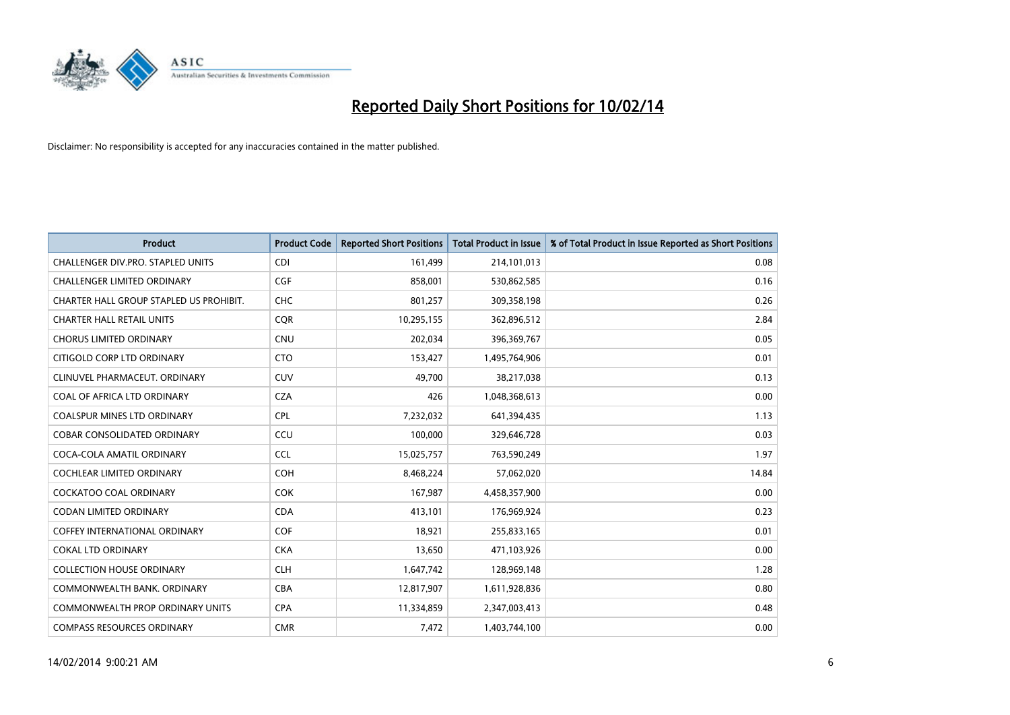

| <b>Product</b>                          | <b>Product Code</b> | <b>Reported Short Positions</b> | <b>Total Product in Issue</b> | % of Total Product in Issue Reported as Short Positions |
|-----------------------------------------|---------------------|---------------------------------|-------------------------------|---------------------------------------------------------|
| CHALLENGER DIV.PRO. STAPLED UNITS       | <b>CDI</b>          | 161,499                         | 214,101,013                   | 0.08                                                    |
| CHALLENGER LIMITED ORDINARY             | <b>CGF</b>          | 858,001                         | 530,862,585                   | 0.16                                                    |
| CHARTER HALL GROUP STAPLED US PROHIBIT. | <b>CHC</b>          | 801,257                         | 309,358,198                   | 0.26                                                    |
| <b>CHARTER HALL RETAIL UNITS</b>        | <b>COR</b>          | 10,295,155                      | 362,896,512                   | 2.84                                                    |
| <b>CHORUS LIMITED ORDINARY</b>          | <b>CNU</b>          | 202,034                         | 396,369,767                   | 0.05                                                    |
| CITIGOLD CORP LTD ORDINARY              | <b>CTO</b>          | 153,427                         | 1,495,764,906                 | 0.01                                                    |
| CLINUVEL PHARMACEUT. ORDINARY           | <b>CUV</b>          | 49,700                          | 38,217,038                    | 0.13                                                    |
| COAL OF AFRICA LTD ORDINARY             | <b>CZA</b>          | 426                             | 1,048,368,613                 | 0.00                                                    |
| <b>COALSPUR MINES LTD ORDINARY</b>      | <b>CPL</b>          | 7,232,032                       | 641,394,435                   | 1.13                                                    |
| <b>COBAR CONSOLIDATED ORDINARY</b>      | CCU                 | 100,000                         | 329,646,728                   | 0.03                                                    |
| COCA-COLA AMATIL ORDINARY               | <b>CCL</b>          | 15,025,757                      | 763,590,249                   | 1.97                                                    |
| <b>COCHLEAR LIMITED ORDINARY</b>        | <b>COH</b>          | 8,468,224                       | 57,062,020                    | 14.84                                                   |
| <b>COCKATOO COAL ORDINARY</b>           | <b>COK</b>          | 167,987                         | 4,458,357,900                 | 0.00                                                    |
| <b>CODAN LIMITED ORDINARY</b>           | <b>CDA</b>          | 413,101                         | 176,969,924                   | 0.23                                                    |
| <b>COFFEY INTERNATIONAL ORDINARY</b>    | <b>COF</b>          | 18,921                          | 255,833,165                   | 0.01                                                    |
| <b>COKAL LTD ORDINARY</b>               | <b>CKA</b>          | 13,650                          | 471,103,926                   | 0.00                                                    |
| <b>COLLECTION HOUSE ORDINARY</b>        | <b>CLH</b>          | 1,647,742                       | 128,969,148                   | 1.28                                                    |
| COMMONWEALTH BANK, ORDINARY             | <b>CBA</b>          | 12,817,907                      | 1,611,928,836                 | 0.80                                                    |
| COMMONWEALTH PROP ORDINARY UNITS        | <b>CPA</b>          | 11,334,859                      | 2,347,003,413                 | 0.48                                                    |
| <b>COMPASS RESOURCES ORDINARY</b>       | <b>CMR</b>          | 7,472                           | 1,403,744,100                 | 0.00                                                    |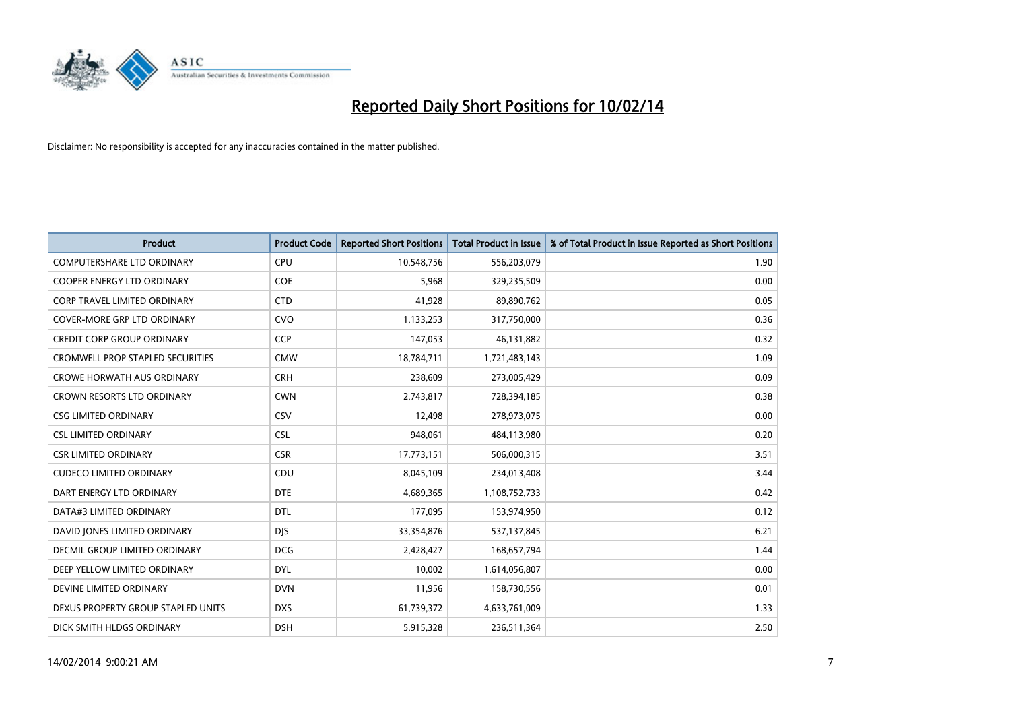

| <b>Product</b>                     | <b>Product Code</b> | <b>Reported Short Positions</b> | <b>Total Product in Issue</b> | % of Total Product in Issue Reported as Short Positions |
|------------------------------------|---------------------|---------------------------------|-------------------------------|---------------------------------------------------------|
| <b>COMPUTERSHARE LTD ORDINARY</b>  | <b>CPU</b>          | 10,548,756                      | 556,203,079                   | 1.90                                                    |
| <b>COOPER ENERGY LTD ORDINARY</b>  | <b>COE</b>          | 5,968                           | 329,235,509                   | 0.00                                                    |
| CORP TRAVEL LIMITED ORDINARY       | <b>CTD</b>          | 41,928                          | 89,890,762                    | 0.05                                                    |
| <b>COVER-MORE GRP LTD ORDINARY</b> | <b>CVO</b>          | 1,133,253                       | 317,750,000                   | 0.36                                                    |
| <b>CREDIT CORP GROUP ORDINARY</b>  | CCP                 | 147,053                         | 46,131,882                    | 0.32                                                    |
| CROMWELL PROP STAPLED SECURITIES   | <b>CMW</b>          | 18,784,711                      | 1,721,483,143                 | 1.09                                                    |
| <b>CROWE HORWATH AUS ORDINARY</b>  | <b>CRH</b>          | 238,609                         | 273,005,429                   | 0.09                                                    |
| <b>CROWN RESORTS LTD ORDINARY</b>  | <b>CWN</b>          | 2,743,817                       | 728,394,185                   | 0.38                                                    |
| <b>CSG LIMITED ORDINARY</b>        | CSV                 | 12,498                          | 278,973,075                   | 0.00                                                    |
| <b>CSL LIMITED ORDINARY</b>        | <b>CSL</b>          | 948,061                         | 484,113,980                   | 0.20                                                    |
| <b>CSR LIMITED ORDINARY</b>        | <b>CSR</b>          | 17,773,151                      | 506,000,315                   | 3.51                                                    |
| <b>CUDECO LIMITED ORDINARY</b>     | CDU                 | 8,045,109                       | 234,013,408                   | 3.44                                                    |
| DART ENERGY LTD ORDINARY           | <b>DTE</b>          | 4,689,365                       | 1,108,752,733                 | 0.42                                                    |
| DATA#3 LIMITED ORDINARY            | <b>DTL</b>          | 177,095                         | 153,974,950                   | 0.12                                                    |
| DAVID JONES LIMITED ORDINARY       | <b>DIS</b>          | 33,354,876                      | 537,137,845                   | 6.21                                                    |
| DECMIL GROUP LIMITED ORDINARY      | <b>DCG</b>          | 2,428,427                       | 168,657,794                   | 1.44                                                    |
| DEEP YELLOW LIMITED ORDINARY       | <b>DYL</b>          | 10,002                          | 1,614,056,807                 | 0.00                                                    |
| DEVINE LIMITED ORDINARY            | <b>DVN</b>          | 11,956                          | 158,730,556                   | 0.01                                                    |
| DEXUS PROPERTY GROUP STAPLED UNITS | <b>DXS</b>          | 61,739,372                      | 4,633,761,009                 | 1.33                                                    |
| DICK SMITH HLDGS ORDINARY          | <b>DSH</b>          | 5,915,328                       | 236,511,364                   | 2.50                                                    |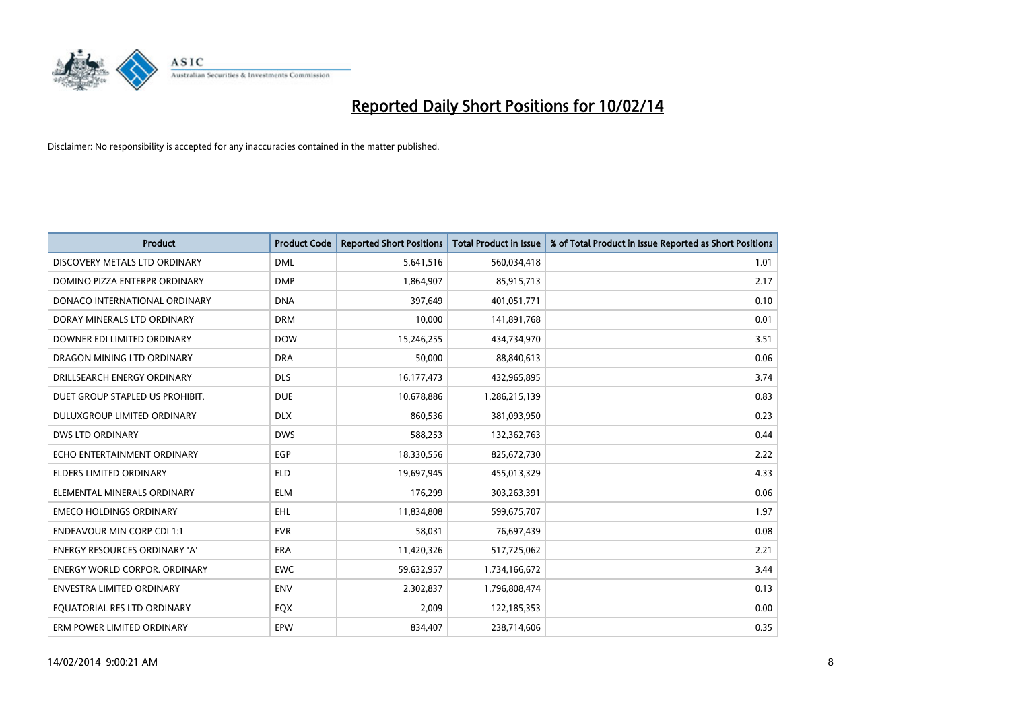

| <b>Product</b>                       | <b>Product Code</b> | <b>Reported Short Positions</b> | <b>Total Product in Issue</b> | % of Total Product in Issue Reported as Short Positions |
|--------------------------------------|---------------------|---------------------------------|-------------------------------|---------------------------------------------------------|
| DISCOVERY METALS LTD ORDINARY        | <b>DML</b>          | 5,641,516                       | 560,034,418                   | 1.01                                                    |
| DOMINO PIZZA ENTERPR ORDINARY        | <b>DMP</b>          | 1,864,907                       | 85,915,713                    | 2.17                                                    |
| DONACO INTERNATIONAL ORDINARY        | <b>DNA</b>          | 397,649                         | 401,051,771                   | 0.10                                                    |
| DORAY MINERALS LTD ORDINARY          | <b>DRM</b>          | 10,000                          | 141,891,768                   | 0.01                                                    |
| DOWNER EDI LIMITED ORDINARY          | <b>DOW</b>          | 15,246,255                      | 434,734,970                   | 3.51                                                    |
| DRAGON MINING LTD ORDINARY           | <b>DRA</b>          | 50,000                          | 88,840,613                    | 0.06                                                    |
| DRILLSEARCH ENERGY ORDINARY          | <b>DLS</b>          | 16, 177, 473                    | 432,965,895                   | 3.74                                                    |
| DUET GROUP STAPLED US PROHIBIT.      | <b>DUE</b>          | 10,678,886                      | 1,286,215,139                 | 0.83                                                    |
| DULUXGROUP LIMITED ORDINARY          | <b>DLX</b>          | 860,536                         | 381,093,950                   | 0.23                                                    |
| DWS LTD ORDINARY                     | <b>DWS</b>          | 588,253                         | 132,362,763                   | 0.44                                                    |
| ECHO ENTERTAINMENT ORDINARY          | <b>EGP</b>          | 18,330,556                      | 825,672,730                   | 2.22                                                    |
| <b>ELDERS LIMITED ORDINARY</b>       | <b>ELD</b>          | 19,697,945                      | 455,013,329                   | 4.33                                                    |
| ELEMENTAL MINERALS ORDINARY          | <b>ELM</b>          | 176,299                         | 303,263,391                   | 0.06                                                    |
| <b>EMECO HOLDINGS ORDINARY</b>       | EHL                 | 11,834,808                      | 599,675,707                   | 1.97                                                    |
| <b>ENDEAVOUR MIN CORP CDI 1:1</b>    | <b>EVR</b>          | 58,031                          | 76,697,439                    | 0.08                                                    |
| <b>ENERGY RESOURCES ORDINARY 'A'</b> | ERA                 | 11,420,326                      | 517,725,062                   | 2.21                                                    |
| <b>ENERGY WORLD CORPOR. ORDINARY</b> | <b>EWC</b>          | 59,632,957                      | 1,734,166,672                 | 3.44                                                    |
| ENVESTRA LIMITED ORDINARY            | <b>ENV</b>          | 2,302,837                       | 1,796,808,474                 | 0.13                                                    |
| EQUATORIAL RES LTD ORDINARY          | EQX                 | 2,009                           | 122,185,353                   | 0.00                                                    |
| ERM POWER LIMITED ORDINARY           | EPW                 | 834,407                         | 238,714,606                   | 0.35                                                    |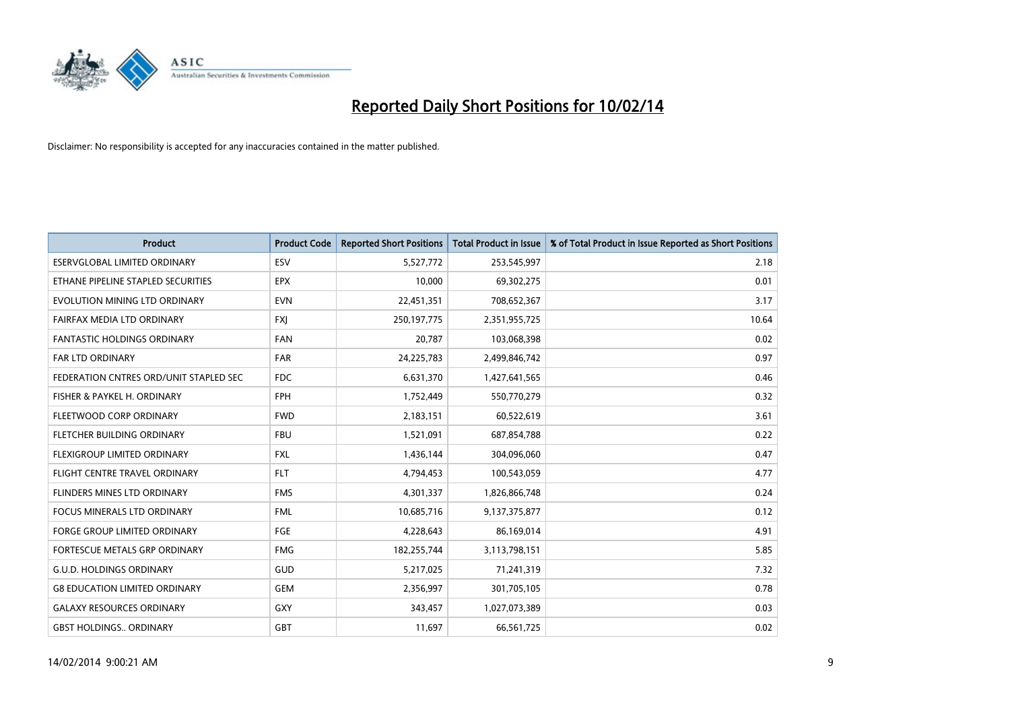

| <b>Product</b>                         | <b>Product Code</b> | <b>Reported Short Positions</b> | <b>Total Product in Issue</b> | % of Total Product in Issue Reported as Short Positions |
|----------------------------------------|---------------------|---------------------------------|-------------------------------|---------------------------------------------------------|
| <b>ESERVGLOBAL LIMITED ORDINARY</b>    | ESV                 | 5,527,772                       | 253,545,997                   | 2.18                                                    |
| ETHANE PIPELINE STAPLED SECURITIES     | <b>EPX</b>          | 10,000                          | 69,302,275                    | 0.01                                                    |
| EVOLUTION MINING LTD ORDINARY          | <b>EVN</b>          | 22,451,351                      | 708,652,367                   | 3.17                                                    |
| FAIRFAX MEDIA LTD ORDINARY             | FXJ                 | 250,197,775                     | 2,351,955,725                 | 10.64                                                   |
| <b>FANTASTIC HOLDINGS ORDINARY</b>     | <b>FAN</b>          | 20,787                          | 103,068,398                   | 0.02                                                    |
| <b>FAR LTD ORDINARY</b>                | <b>FAR</b>          | 24,225,783                      | 2,499,846,742                 | 0.97                                                    |
| FEDERATION CNTRES ORD/UNIT STAPLED SEC | FDC                 | 6,631,370                       | 1,427,641,565                 | 0.46                                                    |
| FISHER & PAYKEL H. ORDINARY            | <b>FPH</b>          | 1,752,449                       | 550,770,279                   | 0.32                                                    |
| FLEETWOOD CORP ORDINARY                | <b>FWD</b>          | 2,183,151                       | 60,522,619                    | 3.61                                                    |
| FLETCHER BUILDING ORDINARY             | <b>FBU</b>          | 1,521,091                       | 687,854,788                   | 0.22                                                    |
| FLEXIGROUP LIMITED ORDINARY            | <b>FXL</b>          | 1,436,144                       | 304,096,060                   | 0.47                                                    |
| FLIGHT CENTRE TRAVEL ORDINARY          | <b>FLT</b>          | 4,794,453                       | 100,543,059                   | 4.77                                                    |
| FLINDERS MINES LTD ORDINARY            | <b>FMS</b>          | 4,301,337                       | 1,826,866,748                 | 0.24                                                    |
| <b>FOCUS MINERALS LTD ORDINARY</b>     | <b>FML</b>          | 10,685,716                      | 9,137,375,877                 | 0.12                                                    |
| <b>FORGE GROUP LIMITED ORDINARY</b>    | FGE                 | 4,228,643                       | 86,169,014                    | 4.91                                                    |
| FORTESCUE METALS GRP ORDINARY          | <b>FMG</b>          | 182,255,744                     | 3,113,798,151                 | 5.85                                                    |
| <b>G.U.D. HOLDINGS ORDINARY</b>        | GUD                 | 5,217,025                       | 71,241,319                    | 7.32                                                    |
| <b>G8 EDUCATION LIMITED ORDINARY</b>   | <b>GEM</b>          | 2,356,997                       | 301,705,105                   | 0.78                                                    |
| <b>GALAXY RESOURCES ORDINARY</b>       | GXY                 | 343,457                         | 1,027,073,389                 | 0.03                                                    |
| <b>GBST HOLDINGS ORDINARY</b>          | GBT                 | 11,697                          | 66,561,725                    | 0.02                                                    |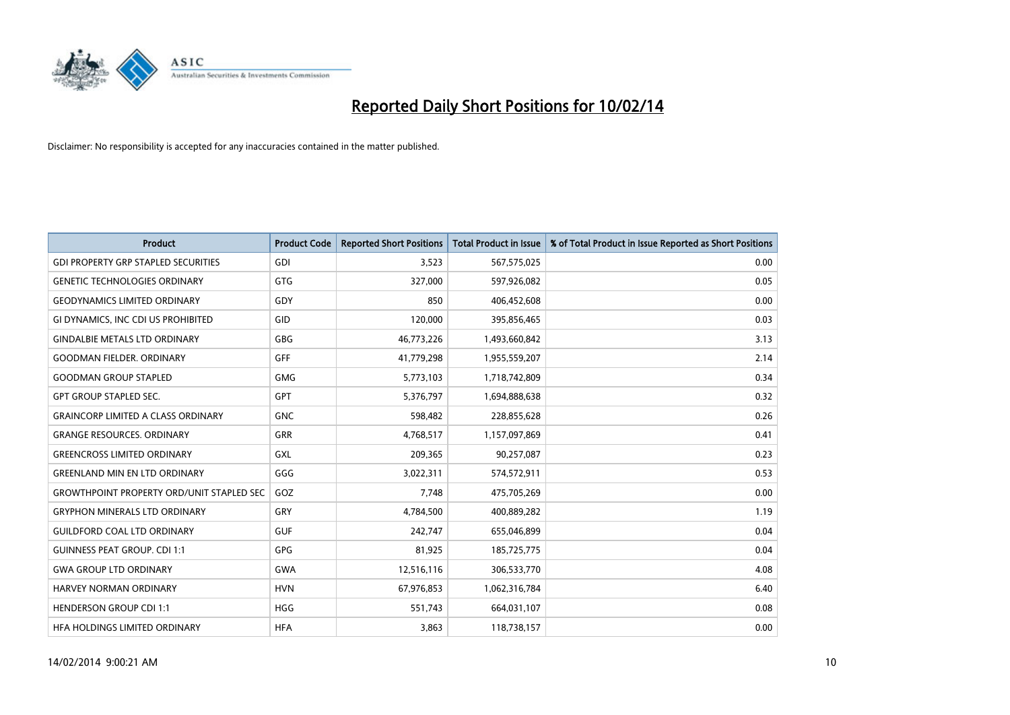

| Product                                          | <b>Product Code</b> | <b>Reported Short Positions</b> | <b>Total Product in Issue</b> | % of Total Product in Issue Reported as Short Positions |
|--------------------------------------------------|---------------------|---------------------------------|-------------------------------|---------------------------------------------------------|
| <b>GDI PROPERTY GRP STAPLED SECURITIES</b>       | GDI                 | 3,523                           | 567,575,025                   | 0.00                                                    |
| <b>GENETIC TECHNOLOGIES ORDINARY</b>             | GTG                 | 327,000                         | 597,926,082                   | 0.05                                                    |
| <b>GEODYNAMICS LIMITED ORDINARY</b>              | GDY                 | 850                             | 406,452,608                   | 0.00                                                    |
| GI DYNAMICS, INC CDI US PROHIBITED               | GID                 | 120,000                         | 395,856,465                   | 0.03                                                    |
| <b>GINDALBIE METALS LTD ORDINARY</b>             | GBG                 | 46,773,226                      | 1,493,660,842                 | 3.13                                                    |
| <b>GOODMAN FIELDER, ORDINARY</b>                 | GFF                 | 41,779,298                      | 1,955,559,207                 | 2.14                                                    |
| <b>GOODMAN GROUP STAPLED</b>                     | <b>GMG</b>          | 5,773,103                       | 1,718,742,809                 | 0.34                                                    |
| <b>GPT GROUP STAPLED SEC.</b>                    | GPT                 | 5,376,797                       | 1,694,888,638                 | 0.32                                                    |
| <b>GRAINCORP LIMITED A CLASS ORDINARY</b>        | <b>GNC</b>          | 598,482                         | 228,855,628                   | 0.26                                                    |
| <b>GRANGE RESOURCES, ORDINARY</b>                | GRR                 | 4,768,517                       | 1,157,097,869                 | 0.41                                                    |
| <b>GREENCROSS LIMITED ORDINARY</b>               | GXL                 | 209,365                         | 90,257,087                    | 0.23                                                    |
| <b>GREENLAND MIN EN LTD ORDINARY</b>             | GGG                 | 3,022,311                       | 574,572,911                   | 0.53                                                    |
| <b>GROWTHPOINT PROPERTY ORD/UNIT STAPLED SEC</b> | GOZ                 | 7,748                           | 475,705,269                   | 0.00                                                    |
| <b>GRYPHON MINERALS LTD ORDINARY</b>             | GRY                 | 4,784,500                       | 400,889,282                   | 1.19                                                    |
| GUILDFORD COAL LTD ORDINARY                      | <b>GUF</b>          | 242,747                         | 655,046,899                   | 0.04                                                    |
| <b>GUINNESS PEAT GROUP. CDI 1:1</b>              | GPG                 | 81,925                          | 185,725,775                   | 0.04                                                    |
| <b>GWA GROUP LTD ORDINARY</b>                    | <b>GWA</b>          | 12,516,116                      | 306,533,770                   | 4.08                                                    |
| <b>HARVEY NORMAN ORDINARY</b>                    | <b>HVN</b>          | 67,976,853                      | 1,062,316,784                 | 6.40                                                    |
| <b>HENDERSON GROUP CDI 1:1</b>                   | <b>HGG</b>          | 551,743                         | 664,031,107                   | 0.08                                                    |
| HFA HOLDINGS LIMITED ORDINARY                    | <b>HFA</b>          | 3,863                           | 118,738,157                   | 0.00                                                    |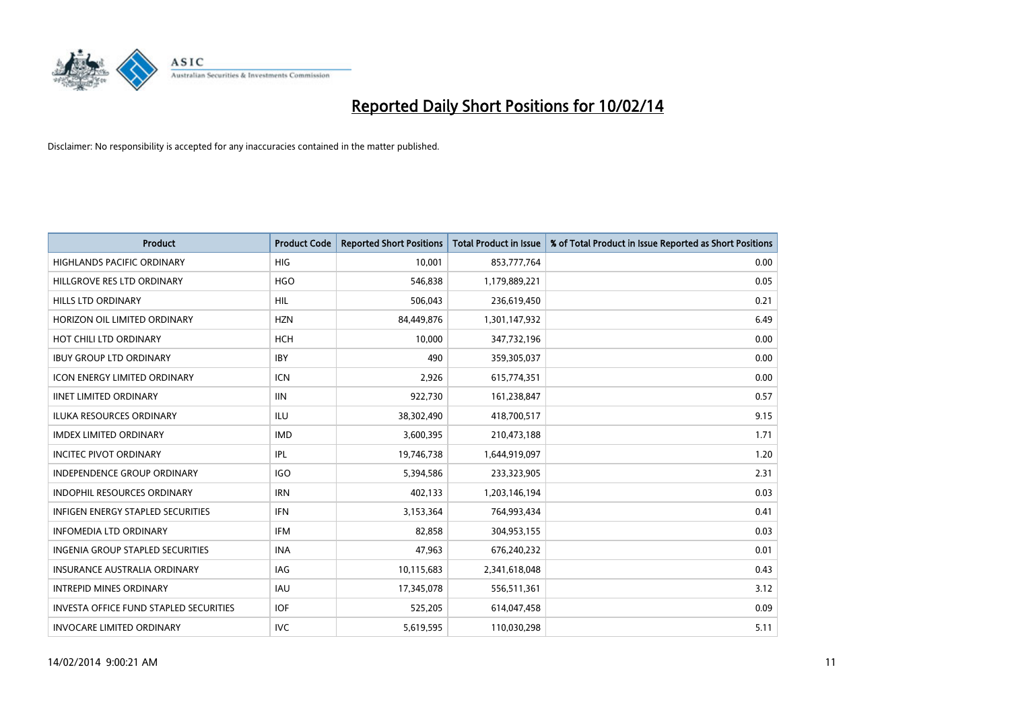

| <b>Product</b>                                | <b>Product Code</b> | <b>Reported Short Positions</b> | <b>Total Product in Issue</b> | % of Total Product in Issue Reported as Short Positions |
|-----------------------------------------------|---------------------|---------------------------------|-------------------------------|---------------------------------------------------------|
| <b>HIGHLANDS PACIFIC ORDINARY</b>             | <b>HIG</b>          | 10,001                          | 853,777,764                   | 0.00                                                    |
| HILLGROVE RES LTD ORDINARY                    | <b>HGO</b>          | 546,838                         | 1,179,889,221                 | 0.05                                                    |
| <b>HILLS LTD ORDINARY</b>                     | <b>HIL</b>          | 506,043                         | 236,619,450                   | 0.21                                                    |
| HORIZON OIL LIMITED ORDINARY                  | <b>HZN</b>          | 84,449,876                      | 1,301,147,932                 | 6.49                                                    |
| HOT CHILI LTD ORDINARY                        | <b>HCH</b>          | 10,000                          | 347,732,196                   | 0.00                                                    |
| <b>IBUY GROUP LTD ORDINARY</b>                | <b>IBY</b>          | 490                             | 359,305,037                   | 0.00                                                    |
| <b>ICON ENERGY LIMITED ORDINARY</b>           | ICN                 | 2,926                           | 615,774,351                   | 0.00                                                    |
| <b>IINET LIMITED ORDINARY</b>                 | <b>IIN</b>          | 922,730                         | 161,238,847                   | 0.57                                                    |
| ILUKA RESOURCES ORDINARY                      | ILU                 | 38,302,490                      | 418,700,517                   | 9.15                                                    |
| <b>IMDEX LIMITED ORDINARY</b>                 | <b>IMD</b>          | 3,600,395                       | 210,473,188                   | 1.71                                                    |
| <b>INCITEC PIVOT ORDINARY</b>                 | IPL                 | 19,746,738                      | 1,644,919,097                 | 1.20                                                    |
| <b>INDEPENDENCE GROUP ORDINARY</b>            | <b>IGO</b>          | 5,394,586                       | 233,323,905                   | 2.31                                                    |
| <b>INDOPHIL RESOURCES ORDINARY</b>            | <b>IRN</b>          | 402,133                         | 1,203,146,194                 | 0.03                                                    |
| <b>INFIGEN ENERGY STAPLED SECURITIES</b>      | <b>IFN</b>          | 3,153,364                       | 764,993,434                   | 0.41                                                    |
| <b>INFOMEDIA LTD ORDINARY</b>                 | <b>IFM</b>          | 82,858                          | 304,953,155                   | 0.03                                                    |
| <b>INGENIA GROUP STAPLED SECURITIES</b>       | <b>INA</b>          | 47,963                          | 676,240,232                   | 0.01                                                    |
| <b>INSURANCE AUSTRALIA ORDINARY</b>           | IAG                 | 10,115,683                      | 2,341,618,048                 | 0.43                                                    |
| <b>INTREPID MINES ORDINARY</b>                | <b>IAU</b>          | 17,345,078                      | 556,511,361                   | 3.12                                                    |
| <b>INVESTA OFFICE FUND STAPLED SECURITIES</b> | <b>IOF</b>          | 525,205                         | 614,047,458                   | 0.09                                                    |
| <b>INVOCARE LIMITED ORDINARY</b>              | <b>IVC</b>          | 5,619,595                       | 110,030,298                   | 5.11                                                    |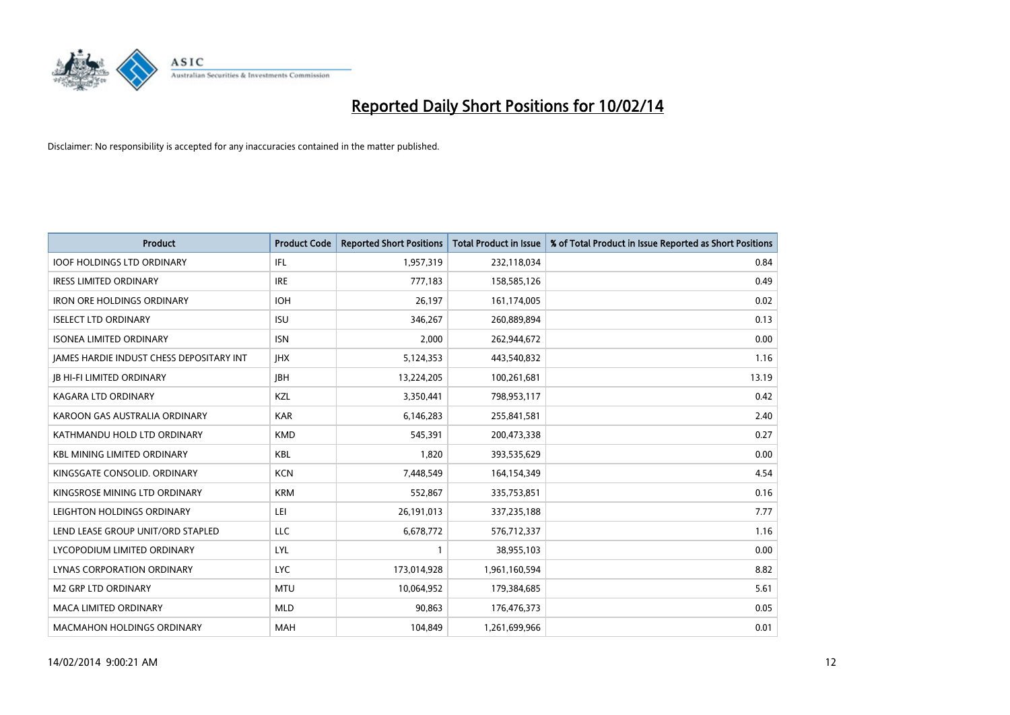

| <b>Product</b>                                  | <b>Product Code</b> | <b>Reported Short Positions</b> | <b>Total Product in Issue</b> | % of Total Product in Issue Reported as Short Positions |
|-------------------------------------------------|---------------------|---------------------------------|-------------------------------|---------------------------------------------------------|
| <b>IOOF HOLDINGS LTD ORDINARY</b>               | IFL                 | 1,957,319                       | 232,118,034                   | 0.84                                                    |
| <b>IRESS LIMITED ORDINARY</b>                   | <b>IRE</b>          | 777,183                         | 158,585,126                   | 0.49                                                    |
| <b>IRON ORE HOLDINGS ORDINARY</b>               | <b>IOH</b>          | 26,197                          | 161,174,005                   | 0.02                                                    |
| <b>ISELECT LTD ORDINARY</b>                     | <b>ISU</b>          | 346,267                         | 260,889,894                   | 0.13                                                    |
| <b>ISONEA LIMITED ORDINARY</b>                  | <b>ISN</b>          | 2,000                           | 262,944,672                   | 0.00                                                    |
| <b>JAMES HARDIE INDUST CHESS DEPOSITARY INT</b> | <b>IHX</b>          | 5,124,353                       | 443,540,832                   | 1.16                                                    |
| <b>JB HI-FI LIMITED ORDINARY</b>                | <b>JBH</b>          | 13,224,205                      | 100,261,681                   | 13.19                                                   |
| <b>KAGARA LTD ORDINARY</b>                      | KZL                 | 3,350,441                       | 798,953,117                   | 0.42                                                    |
| KAROON GAS AUSTRALIA ORDINARY                   | <b>KAR</b>          | 6,146,283                       | 255,841,581                   | 2.40                                                    |
| KATHMANDU HOLD LTD ORDINARY                     | <b>KMD</b>          | 545,391                         | 200,473,338                   | 0.27                                                    |
| <b>KBL MINING LIMITED ORDINARY</b>              | <b>KBL</b>          | 1,820                           | 393,535,629                   | 0.00                                                    |
| KINGSGATE CONSOLID. ORDINARY                    | <b>KCN</b>          | 7,448,549                       | 164,154,349                   | 4.54                                                    |
| KINGSROSE MINING LTD ORDINARY                   | <b>KRM</b>          | 552,867                         | 335,753,851                   | 0.16                                                    |
| LEIGHTON HOLDINGS ORDINARY                      | LEI                 | 26,191,013                      | 337,235,188                   | 7.77                                                    |
| LEND LEASE GROUP UNIT/ORD STAPLED               | <b>LLC</b>          | 6,678,772                       | 576,712,337                   | 1.16                                                    |
| LYCOPODIUM LIMITED ORDINARY                     | <b>LYL</b>          | 1                               | 38,955,103                    | 0.00                                                    |
| LYNAS CORPORATION ORDINARY                      | <b>LYC</b>          | 173,014,928                     | 1,961,160,594                 | 8.82                                                    |
| <b>M2 GRP LTD ORDINARY</b>                      | <b>MTU</b>          | 10,064,952                      | 179,384,685                   | 5.61                                                    |
| <b>MACA LIMITED ORDINARY</b>                    | <b>MLD</b>          | 90,863                          | 176,476,373                   | 0.05                                                    |
| <b>MACMAHON HOLDINGS ORDINARY</b>               | <b>MAH</b>          | 104,849                         | 1,261,699,966                 | 0.01                                                    |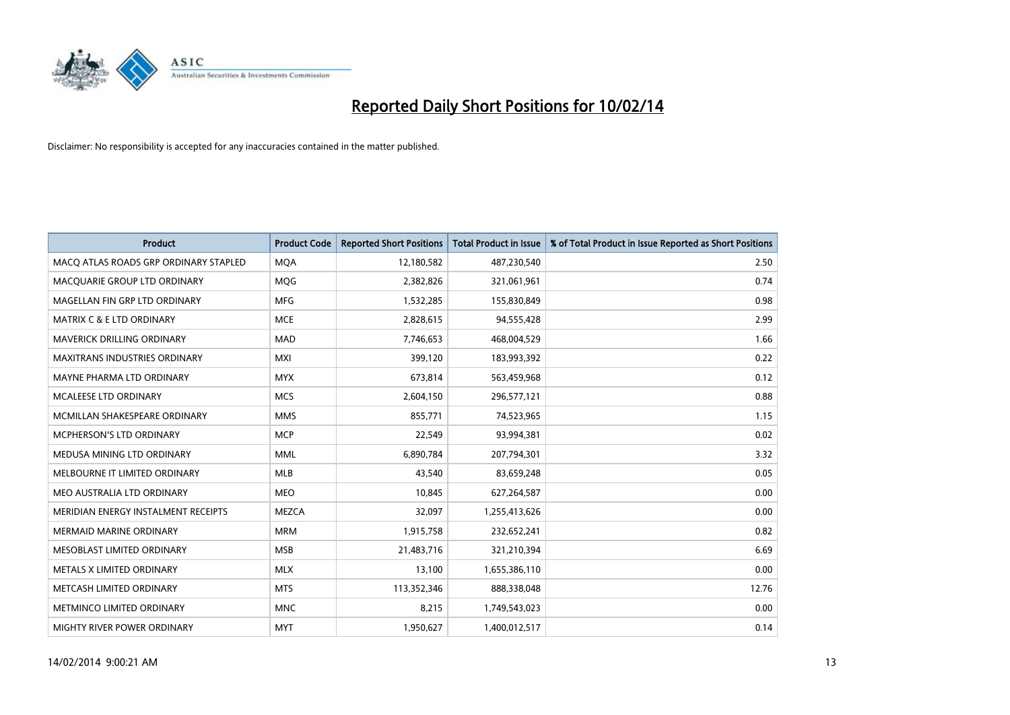

| <b>Product</b>                        | <b>Product Code</b> | <b>Reported Short Positions</b> | <b>Total Product in Issue</b> | % of Total Product in Issue Reported as Short Positions |
|---------------------------------------|---------------------|---------------------------------|-------------------------------|---------------------------------------------------------|
| MACO ATLAS ROADS GRP ORDINARY STAPLED | <b>MQA</b>          | 12,180,582                      | 487,230,540                   | 2.50                                                    |
| MACQUARIE GROUP LTD ORDINARY          | <b>MOG</b>          | 2,382,826                       | 321,061,961                   | 0.74                                                    |
| MAGELLAN FIN GRP LTD ORDINARY         | MFG                 | 1,532,285                       | 155,830,849                   | 0.98                                                    |
| <b>MATRIX C &amp; E LTD ORDINARY</b>  | <b>MCE</b>          | 2,828,615                       | 94,555,428                    | 2.99                                                    |
| <b>MAVERICK DRILLING ORDINARY</b>     | <b>MAD</b>          | 7,746,653                       | 468,004,529                   | 1.66                                                    |
| <b>MAXITRANS INDUSTRIES ORDINARY</b>  | <b>MXI</b>          | 399,120                         | 183,993,392                   | 0.22                                                    |
| MAYNE PHARMA LTD ORDINARY             | <b>MYX</b>          | 673,814                         | 563,459,968                   | 0.12                                                    |
| <b>MCALEESE LTD ORDINARY</b>          | <b>MCS</b>          | 2,604,150                       | 296,577,121                   | 0.88                                                    |
| MCMILLAN SHAKESPEARE ORDINARY         | <b>MMS</b>          | 855,771                         | 74,523,965                    | 1.15                                                    |
| MCPHERSON'S LTD ORDINARY              | <b>MCP</b>          | 22,549                          | 93,994,381                    | 0.02                                                    |
| MEDUSA MINING LTD ORDINARY            | <b>MML</b>          | 6,890,784                       | 207,794,301                   | 3.32                                                    |
| MELBOURNE IT LIMITED ORDINARY         | <b>MLB</b>          | 43,540                          | 83,659,248                    | 0.05                                                    |
| MEO AUSTRALIA LTD ORDINARY            | <b>MEO</b>          | 10,845                          | 627,264,587                   | 0.00                                                    |
| MERIDIAN ENERGY INSTALMENT RECEIPTS   | <b>MEZCA</b>        | 32.097                          | 1,255,413,626                 | 0.00                                                    |
| <b>MERMAID MARINE ORDINARY</b>        | <b>MRM</b>          | 1,915,758                       | 232,652,241                   | 0.82                                                    |
| MESOBLAST LIMITED ORDINARY            | <b>MSB</b>          | 21,483,716                      | 321,210,394                   | 6.69                                                    |
| METALS X LIMITED ORDINARY             | <b>MLX</b>          | 13,100                          | 1,655,386,110                 | 0.00                                                    |
| METCASH LIMITED ORDINARY              | <b>MTS</b>          | 113,352,346                     | 888,338,048                   | 12.76                                                   |
| METMINCO LIMITED ORDINARY             | <b>MNC</b>          | 8,215                           | 1,749,543,023                 | 0.00                                                    |
| MIGHTY RIVER POWER ORDINARY           | <b>MYT</b>          | 1,950,627                       | 1,400,012,517                 | 0.14                                                    |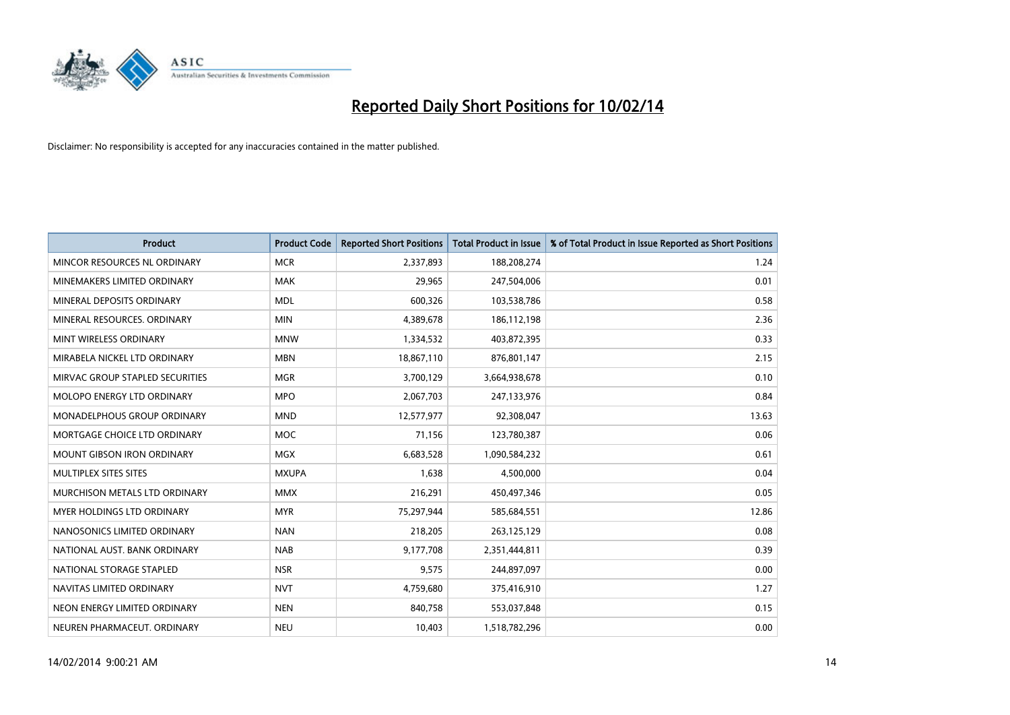

| <b>Product</b>                    | <b>Product Code</b> | <b>Reported Short Positions</b> | <b>Total Product in Issue</b> | % of Total Product in Issue Reported as Short Positions |
|-----------------------------------|---------------------|---------------------------------|-------------------------------|---------------------------------------------------------|
| MINCOR RESOURCES NL ORDINARY      | <b>MCR</b>          | 2,337,893                       | 188,208,274                   | 1.24                                                    |
| MINEMAKERS LIMITED ORDINARY       | MAK                 | 29,965                          | 247,504,006                   | 0.01                                                    |
| MINERAL DEPOSITS ORDINARY         | <b>MDL</b>          | 600,326                         | 103,538,786                   | 0.58                                                    |
| MINERAL RESOURCES. ORDINARY       | <b>MIN</b>          | 4,389,678                       | 186,112,198                   | 2.36                                                    |
| MINT WIRELESS ORDINARY            | <b>MNW</b>          | 1,334,532                       | 403,872,395                   | 0.33                                                    |
| MIRABELA NICKEL LTD ORDINARY      | <b>MBN</b>          | 18,867,110                      | 876,801,147                   | 2.15                                                    |
| MIRVAC GROUP STAPLED SECURITIES   | <b>MGR</b>          | 3,700,129                       | 3,664,938,678                 | 0.10                                                    |
| MOLOPO ENERGY LTD ORDINARY        | <b>MPO</b>          | 2,067,703                       | 247,133,976                   | 0.84                                                    |
| MONADELPHOUS GROUP ORDINARY       | <b>MND</b>          | 12,577,977                      | 92,308,047                    | 13.63                                                   |
| MORTGAGE CHOICE LTD ORDINARY      | <b>MOC</b>          | 71,156                          | 123,780,387                   | 0.06                                                    |
| <b>MOUNT GIBSON IRON ORDINARY</b> | <b>MGX</b>          | 6,683,528                       | 1,090,584,232                 | 0.61                                                    |
| MULTIPLEX SITES SITES             | <b>MXUPA</b>        | 1,638                           | 4,500,000                     | 0.04                                                    |
| MURCHISON METALS LTD ORDINARY     | <b>MMX</b>          | 216,291                         | 450,497,346                   | 0.05                                                    |
| <b>MYER HOLDINGS LTD ORDINARY</b> | <b>MYR</b>          | 75,297,944                      | 585,684,551                   | 12.86                                                   |
| NANOSONICS LIMITED ORDINARY       | <b>NAN</b>          | 218,205                         | 263,125,129                   | 0.08                                                    |
| NATIONAL AUST. BANK ORDINARY      | <b>NAB</b>          | 9,177,708                       | 2,351,444,811                 | 0.39                                                    |
| NATIONAL STORAGE STAPLED          | <b>NSR</b>          | 9,575                           | 244,897,097                   | 0.00                                                    |
| NAVITAS LIMITED ORDINARY          | <b>NVT</b>          | 4,759,680                       | 375,416,910                   | 1.27                                                    |
| NEON ENERGY LIMITED ORDINARY      | <b>NEN</b>          | 840,758                         | 553,037,848                   | 0.15                                                    |
| NEUREN PHARMACEUT. ORDINARY       | <b>NEU</b>          | 10,403                          | 1,518,782,296                 | 0.00                                                    |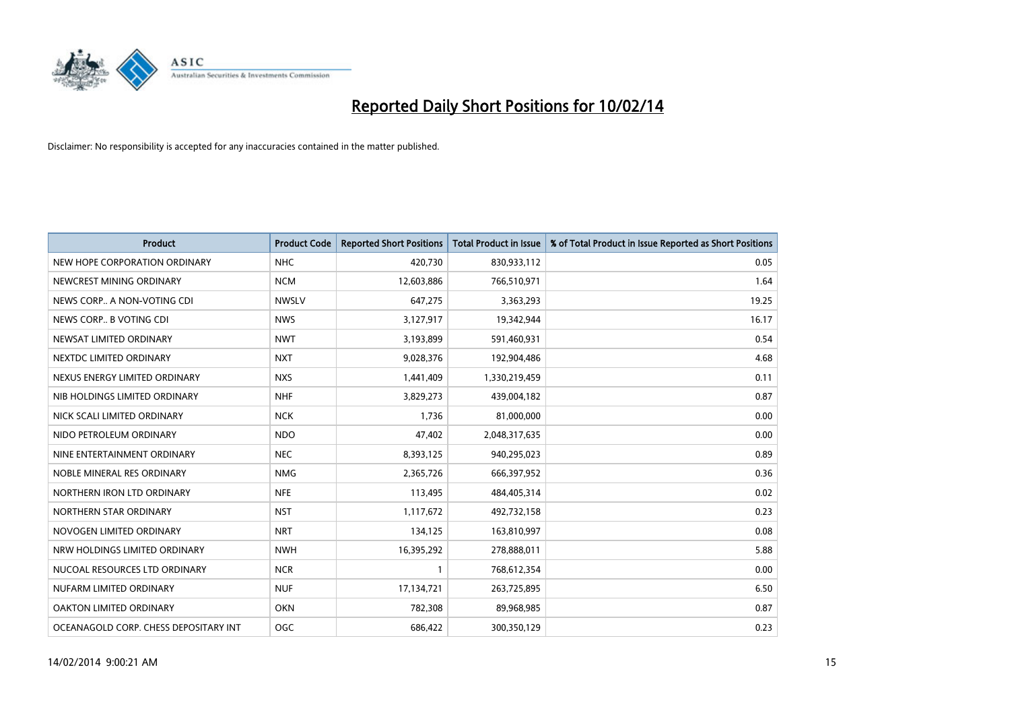

| <b>Product</b>                        | <b>Product Code</b> | <b>Reported Short Positions</b> | <b>Total Product in Issue</b> | % of Total Product in Issue Reported as Short Positions |
|---------------------------------------|---------------------|---------------------------------|-------------------------------|---------------------------------------------------------|
| NEW HOPE CORPORATION ORDINARY         | <b>NHC</b>          | 420,730                         | 830,933,112                   | 0.05                                                    |
| NEWCREST MINING ORDINARY              | <b>NCM</b>          | 12,603,886                      | 766,510,971                   | 1.64                                                    |
| NEWS CORP A NON-VOTING CDI            | <b>NWSLV</b>        | 647,275                         | 3,363,293                     | 19.25                                                   |
| NEWS CORP B VOTING CDI                | <b>NWS</b>          | 3,127,917                       | 19,342,944                    | 16.17                                                   |
| NEWSAT LIMITED ORDINARY               | <b>NWT</b>          | 3,193,899                       | 591,460,931                   | 0.54                                                    |
| NEXTDC LIMITED ORDINARY               | <b>NXT</b>          | 9,028,376                       | 192,904,486                   | 4.68                                                    |
| NEXUS ENERGY LIMITED ORDINARY         | <b>NXS</b>          | 1,441,409                       | 1,330,219,459                 | 0.11                                                    |
| NIB HOLDINGS LIMITED ORDINARY         | <b>NHF</b>          | 3,829,273                       | 439,004,182                   | 0.87                                                    |
| NICK SCALI LIMITED ORDINARY           | <b>NCK</b>          | 1,736                           | 81,000,000                    | 0.00                                                    |
| NIDO PETROLEUM ORDINARY               | <b>NDO</b>          | 47,402                          | 2,048,317,635                 | 0.00                                                    |
| NINE ENTERTAINMENT ORDINARY           | <b>NEC</b>          | 8,393,125                       | 940,295,023                   | 0.89                                                    |
| NOBLE MINERAL RES ORDINARY            | <b>NMG</b>          | 2,365,726                       | 666,397,952                   | 0.36                                                    |
| NORTHERN IRON LTD ORDINARY            | <b>NFE</b>          | 113,495                         | 484,405,314                   | 0.02                                                    |
| NORTHERN STAR ORDINARY                | <b>NST</b>          | 1,117,672                       | 492,732,158                   | 0.23                                                    |
| NOVOGEN LIMITED ORDINARY              | <b>NRT</b>          | 134,125                         | 163,810,997                   | 0.08                                                    |
| NRW HOLDINGS LIMITED ORDINARY         | <b>NWH</b>          | 16,395,292                      | 278,888,011                   | 5.88                                                    |
| NUCOAL RESOURCES LTD ORDINARY         | <b>NCR</b>          | $\mathbf{1}$                    | 768,612,354                   | 0.00                                                    |
| NUFARM LIMITED ORDINARY               | <b>NUF</b>          | 17,134,721                      | 263,725,895                   | 6.50                                                    |
| OAKTON LIMITED ORDINARY               | <b>OKN</b>          | 782,308                         | 89,968,985                    | 0.87                                                    |
| OCEANAGOLD CORP. CHESS DEPOSITARY INT | OGC                 | 686,422                         | 300,350,129                   | 0.23                                                    |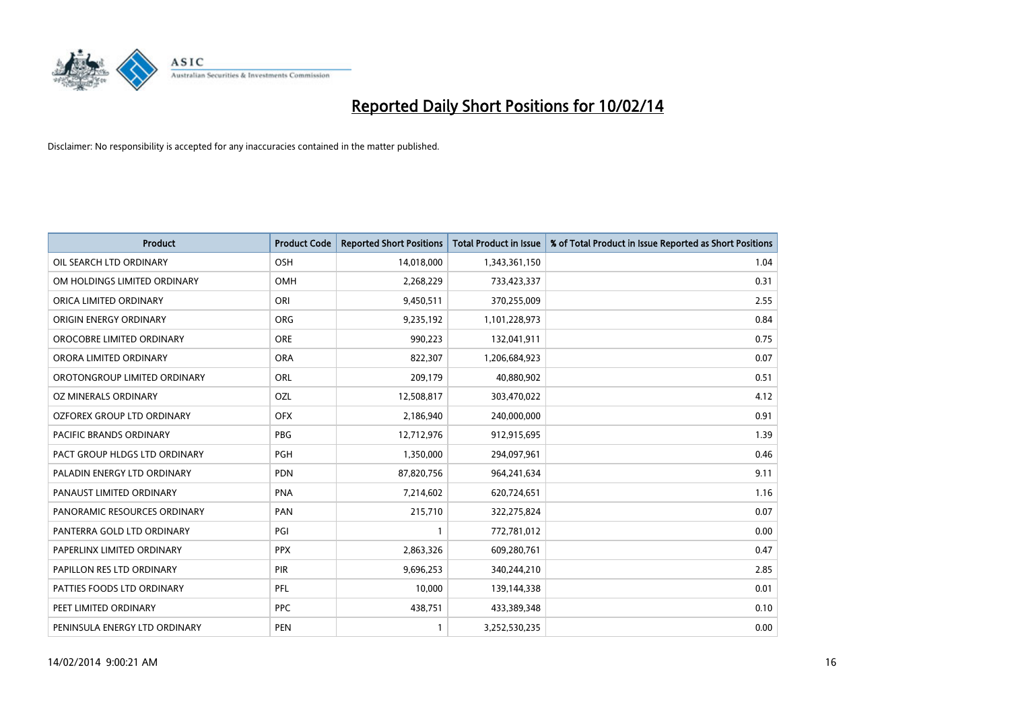

| <b>Product</b>                 | <b>Product Code</b> | <b>Reported Short Positions</b> | <b>Total Product in Issue</b> | % of Total Product in Issue Reported as Short Positions |
|--------------------------------|---------------------|---------------------------------|-------------------------------|---------------------------------------------------------|
| OIL SEARCH LTD ORDINARY        | OSH                 | 14,018,000                      | 1,343,361,150                 | 1.04                                                    |
| OM HOLDINGS LIMITED ORDINARY   | OMH                 | 2,268,229                       | 733,423,337                   | 0.31                                                    |
| ORICA LIMITED ORDINARY         | ORI                 | 9,450,511                       | 370,255,009                   | 2.55                                                    |
| ORIGIN ENERGY ORDINARY         | <b>ORG</b>          | 9,235,192                       | 1,101,228,973                 | 0.84                                                    |
| OROCOBRE LIMITED ORDINARY      | <b>ORE</b>          | 990,223                         | 132,041,911                   | 0.75                                                    |
| ORORA LIMITED ORDINARY         | <b>ORA</b>          | 822,307                         | 1,206,684,923                 | 0.07                                                    |
| OROTONGROUP LIMITED ORDINARY   | ORL                 | 209,179                         | 40,880,902                    | 0.51                                                    |
| OZ MINERALS ORDINARY           | OZL                 | 12,508,817                      | 303,470,022                   | 4.12                                                    |
| OZFOREX GROUP LTD ORDINARY     | <b>OFX</b>          | 2,186,940                       | 240,000,000                   | 0.91                                                    |
| <b>PACIFIC BRANDS ORDINARY</b> | <b>PBG</b>          | 12,712,976                      | 912,915,695                   | 1.39                                                    |
| PACT GROUP HLDGS LTD ORDINARY  | <b>PGH</b>          | 1,350,000                       | 294,097,961                   | 0.46                                                    |
| PALADIN ENERGY LTD ORDINARY    | <b>PDN</b>          | 87,820,756                      | 964,241,634                   | 9.11                                                    |
| PANAUST LIMITED ORDINARY       | <b>PNA</b>          | 7,214,602                       | 620,724,651                   | 1.16                                                    |
| PANORAMIC RESOURCES ORDINARY   | PAN                 | 215,710                         | 322,275,824                   | 0.07                                                    |
| PANTERRA GOLD LTD ORDINARY     | PGI                 | $\mathbf{1}$                    | 772,781,012                   | 0.00                                                    |
| PAPERLINX LIMITED ORDINARY     | <b>PPX</b>          | 2,863,326                       | 609,280,761                   | 0.47                                                    |
| PAPILLON RES LTD ORDINARY      | PIR                 | 9,696,253                       | 340,244,210                   | 2.85                                                    |
| PATTIES FOODS LTD ORDINARY     | <b>PFL</b>          | 10,000                          | 139,144,338                   | 0.01                                                    |
| PEET LIMITED ORDINARY          | <b>PPC</b>          | 438,751                         | 433,389,348                   | 0.10                                                    |
| PENINSULA ENERGY LTD ORDINARY  | <b>PEN</b>          | $\mathbf{1}$                    | 3,252,530,235                 | 0.00                                                    |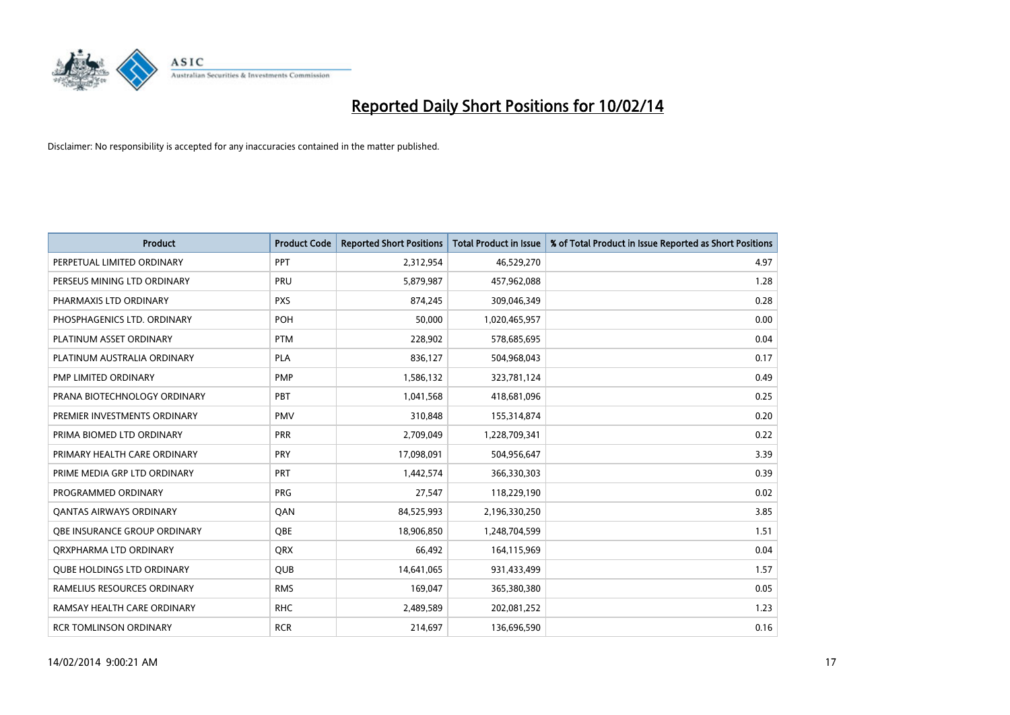

| <b>Product</b>                    | <b>Product Code</b> | <b>Reported Short Positions</b> | <b>Total Product in Issue</b> | % of Total Product in Issue Reported as Short Positions |
|-----------------------------------|---------------------|---------------------------------|-------------------------------|---------------------------------------------------------|
| PERPETUAL LIMITED ORDINARY        | PPT                 | 2,312,954                       | 46,529,270                    | 4.97                                                    |
| PERSEUS MINING LTD ORDINARY       | PRU                 | 5,879,987                       | 457,962,088                   | 1.28                                                    |
| PHARMAXIS LTD ORDINARY            | <b>PXS</b>          | 874,245                         | 309,046,349                   | 0.28                                                    |
| PHOSPHAGENICS LTD. ORDINARY       | POH                 | 50,000                          | 1,020,465,957                 | 0.00                                                    |
| PLATINUM ASSET ORDINARY           | <b>PTM</b>          | 228,902                         | 578,685,695                   | 0.04                                                    |
| PLATINUM AUSTRALIA ORDINARY       | <b>PLA</b>          | 836,127                         | 504,968,043                   | 0.17                                                    |
| PMP LIMITED ORDINARY              | <b>PMP</b>          | 1,586,132                       | 323,781,124                   | 0.49                                                    |
| PRANA BIOTECHNOLOGY ORDINARY      | <b>PBT</b>          | 1,041,568                       | 418,681,096                   | 0.25                                                    |
| PREMIER INVESTMENTS ORDINARY      | <b>PMV</b>          | 310,848                         | 155,314,874                   | 0.20                                                    |
| PRIMA BIOMED LTD ORDINARY         | <b>PRR</b>          | 2,709,049                       | 1,228,709,341                 | 0.22                                                    |
| PRIMARY HEALTH CARE ORDINARY      | <b>PRY</b>          | 17,098,091                      | 504,956,647                   | 3.39                                                    |
| PRIME MEDIA GRP LTD ORDINARY      | <b>PRT</b>          | 1,442,574                       | 366,330,303                   | 0.39                                                    |
| PROGRAMMED ORDINARY               | <b>PRG</b>          | 27,547                          | 118,229,190                   | 0.02                                                    |
| <b>QANTAS AIRWAYS ORDINARY</b>    | QAN                 | 84,525,993                      | 2,196,330,250                 | 3.85                                                    |
| OBE INSURANCE GROUP ORDINARY      | <b>QBE</b>          | 18,906,850                      | 1,248,704,599                 | 1.51                                                    |
| ORXPHARMA LTD ORDINARY            | QRX                 | 66,492                          | 164,115,969                   | 0.04                                                    |
| <b>QUBE HOLDINGS LTD ORDINARY</b> | QUB                 | 14,641,065                      | 931,433,499                   | 1.57                                                    |
| RAMELIUS RESOURCES ORDINARY       | <b>RMS</b>          | 169,047                         | 365,380,380                   | 0.05                                                    |
| RAMSAY HEALTH CARE ORDINARY       | <b>RHC</b>          | 2,489,589                       | 202,081,252                   | 1.23                                                    |
| <b>RCR TOMLINSON ORDINARY</b>     | <b>RCR</b>          | 214,697                         | 136,696,590                   | 0.16                                                    |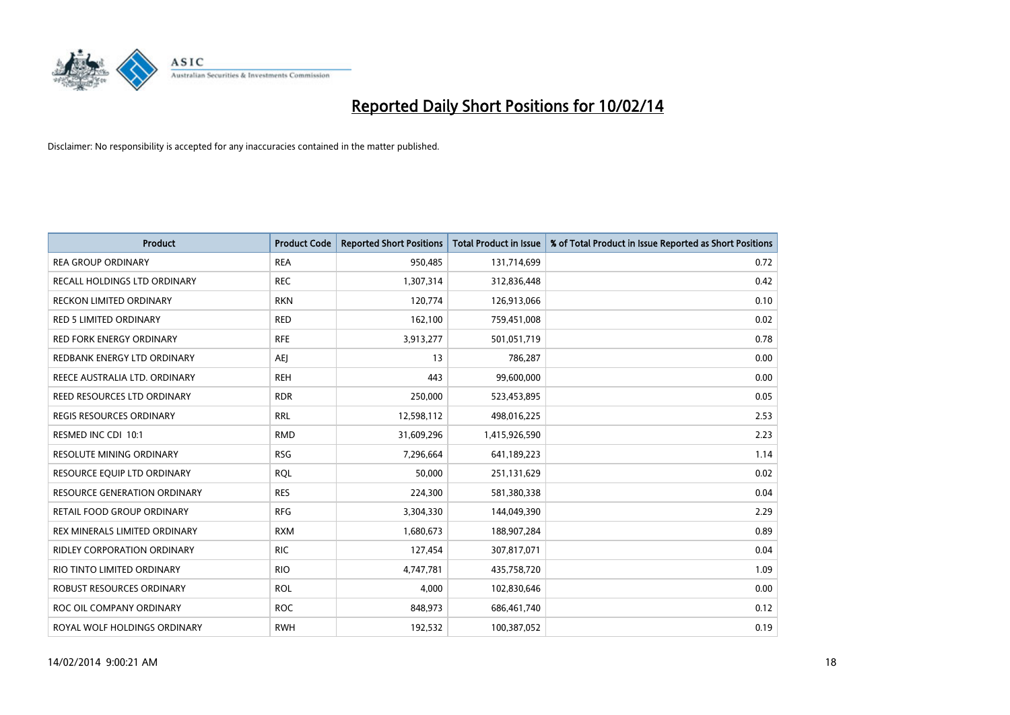

| <b>Product</b>                      | <b>Product Code</b> | <b>Reported Short Positions</b> | <b>Total Product in Issue</b> | % of Total Product in Issue Reported as Short Positions |
|-------------------------------------|---------------------|---------------------------------|-------------------------------|---------------------------------------------------------|
| <b>REA GROUP ORDINARY</b>           | <b>REA</b>          | 950,485                         | 131,714,699                   | 0.72                                                    |
| RECALL HOLDINGS LTD ORDINARY        | <b>REC</b>          | 1,307,314                       | 312,836,448                   | 0.42                                                    |
| <b>RECKON LIMITED ORDINARY</b>      | <b>RKN</b>          | 120,774                         | 126,913,066                   | 0.10                                                    |
| <b>RED 5 LIMITED ORDINARY</b>       | <b>RED</b>          | 162,100                         | 759,451,008                   | 0.02                                                    |
| <b>RED FORK ENERGY ORDINARY</b>     | <b>RFE</b>          | 3,913,277                       | 501,051,719                   | 0.78                                                    |
| REDBANK ENERGY LTD ORDINARY         | <b>AEJ</b>          | 13                              | 786,287                       | 0.00                                                    |
| REECE AUSTRALIA LTD. ORDINARY       | <b>REH</b>          | 443                             | 99,600,000                    | 0.00                                                    |
| REED RESOURCES LTD ORDINARY         | <b>RDR</b>          | 250,000                         | 523,453,895                   | 0.05                                                    |
| <b>REGIS RESOURCES ORDINARY</b>     | <b>RRL</b>          | 12,598,112                      | 498,016,225                   | 2.53                                                    |
| RESMED INC CDI 10:1                 | <b>RMD</b>          | 31,609,296                      | 1,415,926,590                 | 2.23                                                    |
| RESOLUTE MINING ORDINARY            | <b>RSG</b>          | 7,296,664                       | 641,189,223                   | 1.14                                                    |
| RESOURCE EQUIP LTD ORDINARY         | <b>RQL</b>          | 50,000                          | 251,131,629                   | 0.02                                                    |
| <b>RESOURCE GENERATION ORDINARY</b> | <b>RES</b>          | 224,300                         | 581,380,338                   | 0.04                                                    |
| <b>RETAIL FOOD GROUP ORDINARY</b>   | <b>RFG</b>          | 3,304,330                       | 144,049,390                   | 2.29                                                    |
| REX MINERALS LIMITED ORDINARY       | <b>RXM</b>          | 1,680,673                       | 188,907,284                   | 0.89                                                    |
| <b>RIDLEY CORPORATION ORDINARY</b>  | <b>RIC</b>          | 127,454                         | 307,817,071                   | 0.04                                                    |
| RIO TINTO LIMITED ORDINARY          | <b>RIO</b>          | 4,747,781                       | 435,758,720                   | 1.09                                                    |
| ROBUST RESOURCES ORDINARY           | <b>ROL</b>          | 4,000                           | 102,830,646                   | 0.00                                                    |
| ROC OIL COMPANY ORDINARY            | <b>ROC</b>          | 848,973                         | 686,461,740                   | 0.12                                                    |
| ROYAL WOLF HOLDINGS ORDINARY        | <b>RWH</b>          | 192,532                         | 100,387,052                   | 0.19                                                    |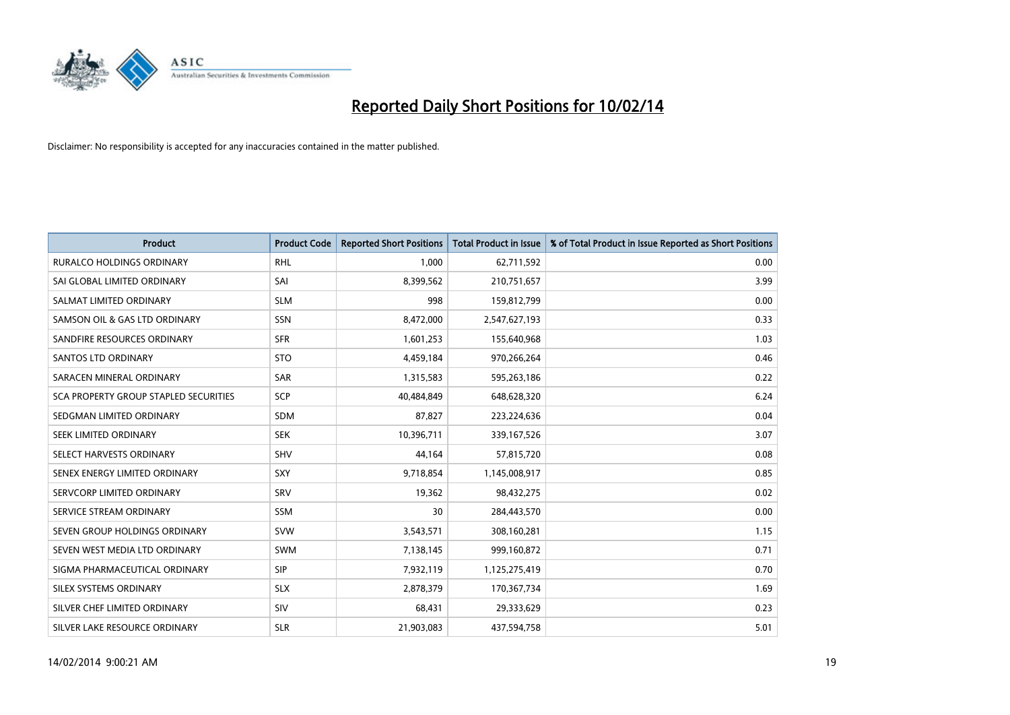

| <b>Product</b>                        | <b>Product Code</b> | <b>Reported Short Positions</b> | <b>Total Product in Issue</b> | % of Total Product in Issue Reported as Short Positions |
|---------------------------------------|---------------------|---------------------------------|-------------------------------|---------------------------------------------------------|
| <b>RURALCO HOLDINGS ORDINARY</b>      | <b>RHL</b>          | 1,000                           | 62,711,592                    | 0.00                                                    |
| SAI GLOBAL LIMITED ORDINARY           | SAI                 | 8,399,562                       | 210,751,657                   | 3.99                                                    |
| SALMAT LIMITED ORDINARY               | <b>SLM</b>          | 998                             | 159,812,799                   | 0.00                                                    |
| SAMSON OIL & GAS LTD ORDINARY         | SSN                 | 8,472,000                       | 2,547,627,193                 | 0.33                                                    |
| SANDFIRE RESOURCES ORDINARY           | <b>SFR</b>          | 1,601,253                       | 155,640,968                   | 1.03                                                    |
| <b>SANTOS LTD ORDINARY</b>            | <b>STO</b>          | 4,459,184                       | 970,266,264                   | 0.46                                                    |
| SARACEN MINERAL ORDINARY              | <b>SAR</b>          | 1,315,583                       | 595,263,186                   | 0.22                                                    |
| SCA PROPERTY GROUP STAPLED SECURITIES | <b>SCP</b>          | 40,484,849                      | 648,628,320                   | 6.24                                                    |
| SEDGMAN LIMITED ORDINARY              | <b>SDM</b>          | 87,827                          | 223,224,636                   | 0.04                                                    |
| SEEK LIMITED ORDINARY                 | <b>SEK</b>          | 10,396,711                      | 339,167,526                   | 3.07                                                    |
| SELECT HARVESTS ORDINARY              | SHV                 | 44,164                          | 57,815,720                    | 0.08                                                    |
| SENEX ENERGY LIMITED ORDINARY         | <b>SXY</b>          | 9,718,854                       | 1,145,008,917                 | 0.85                                                    |
| SERVCORP LIMITED ORDINARY             | SRV                 | 19,362                          | 98,432,275                    | 0.02                                                    |
| SERVICE STREAM ORDINARY               | SSM                 | 30                              | 284,443,570                   | 0.00                                                    |
| SEVEN GROUP HOLDINGS ORDINARY         | <b>SVW</b>          | 3,543,571                       | 308,160,281                   | 1.15                                                    |
| SEVEN WEST MEDIA LTD ORDINARY         | SWM                 | 7,138,145                       | 999,160,872                   | 0.71                                                    |
| SIGMA PHARMACEUTICAL ORDINARY         | <b>SIP</b>          | 7,932,119                       | 1,125,275,419                 | 0.70                                                    |
| SILEX SYSTEMS ORDINARY                | <b>SLX</b>          | 2,878,379                       | 170,367,734                   | 1.69                                                    |
| SILVER CHEF LIMITED ORDINARY          | SIV                 | 68,431                          | 29,333,629                    | 0.23                                                    |
| SILVER LAKE RESOURCE ORDINARY         | <b>SLR</b>          | 21,903,083                      | 437,594,758                   | 5.01                                                    |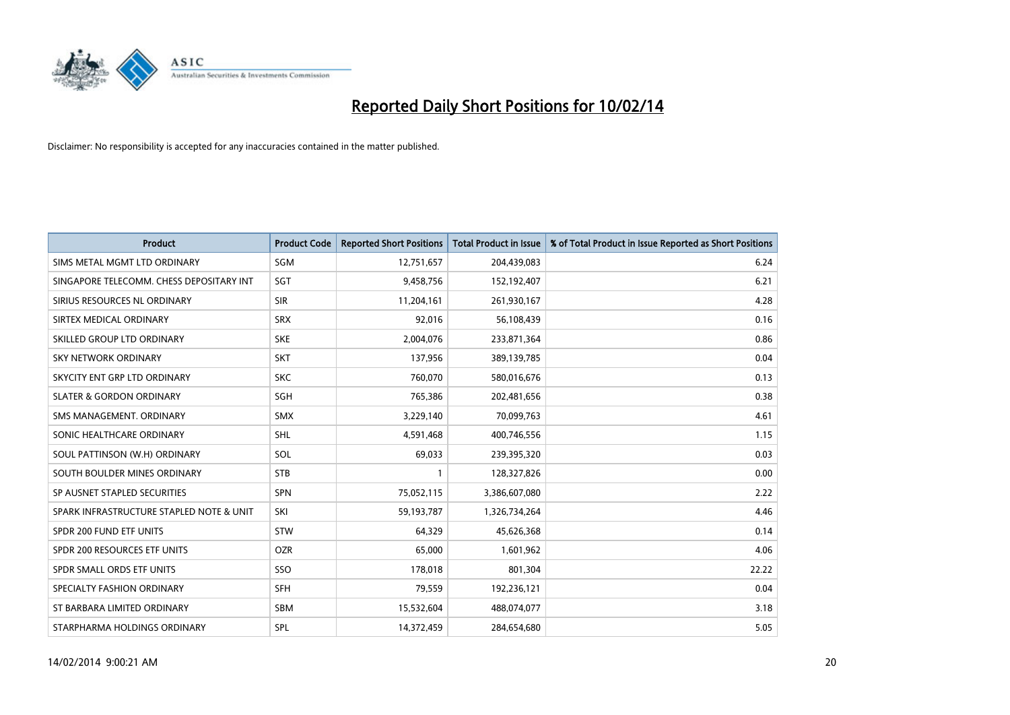

| <b>Product</b>                           | <b>Product Code</b> | <b>Reported Short Positions</b> | <b>Total Product in Issue</b> | % of Total Product in Issue Reported as Short Positions |
|------------------------------------------|---------------------|---------------------------------|-------------------------------|---------------------------------------------------------|
| SIMS METAL MGMT LTD ORDINARY             | <b>SGM</b>          | 12,751,657                      | 204,439,083                   | 6.24                                                    |
| SINGAPORE TELECOMM. CHESS DEPOSITARY INT | SGT                 | 9,458,756                       | 152,192,407                   | 6.21                                                    |
| SIRIUS RESOURCES NL ORDINARY             | <b>SIR</b>          | 11,204,161                      | 261,930,167                   | 4.28                                                    |
| SIRTEX MEDICAL ORDINARY                  | <b>SRX</b>          | 92,016                          | 56,108,439                    | 0.16                                                    |
| SKILLED GROUP LTD ORDINARY               | <b>SKE</b>          | 2,004,076                       | 233,871,364                   | 0.86                                                    |
| <b>SKY NETWORK ORDINARY</b>              | <b>SKT</b>          | 137,956                         | 389,139,785                   | 0.04                                                    |
| SKYCITY ENT GRP LTD ORDINARY             | <b>SKC</b>          | 760,070                         | 580,016,676                   | 0.13                                                    |
| <b>SLATER &amp; GORDON ORDINARY</b>      | SGH                 | 765,386                         | 202,481,656                   | 0.38                                                    |
| SMS MANAGEMENT. ORDINARY                 | <b>SMX</b>          | 3,229,140                       | 70,099,763                    | 4.61                                                    |
| SONIC HEALTHCARE ORDINARY                | <b>SHL</b>          | 4,591,468                       | 400,746,556                   | 1.15                                                    |
| SOUL PATTINSON (W.H) ORDINARY            | <b>SOL</b>          | 69,033                          | 239,395,320                   | 0.03                                                    |
| SOUTH BOULDER MINES ORDINARY             | <b>STB</b>          | 1                               | 128,327,826                   | 0.00                                                    |
| SP AUSNET STAPLED SECURITIES             | <b>SPN</b>          | 75,052,115                      | 3,386,607,080                 | 2.22                                                    |
| SPARK INFRASTRUCTURE STAPLED NOTE & UNIT | SKI                 | 59,193,787                      | 1,326,734,264                 | 4.46                                                    |
| SPDR 200 FUND ETF UNITS                  | <b>STW</b>          | 64,329                          | 45,626,368                    | 0.14                                                    |
| SPDR 200 RESOURCES ETF UNITS             | <b>OZR</b>          | 65,000                          | 1,601,962                     | 4.06                                                    |
| SPDR SMALL ORDS ETF UNITS                | SSO                 | 178,018                         | 801,304                       | 22.22                                                   |
| SPECIALTY FASHION ORDINARY               | <b>SFH</b>          | 79,559                          | 192,236,121                   | 0.04                                                    |
| ST BARBARA LIMITED ORDINARY              | <b>SBM</b>          | 15,532,604                      | 488,074,077                   | 3.18                                                    |
| STARPHARMA HOLDINGS ORDINARY             | SPL                 | 14,372,459                      | 284,654,680                   | 5.05                                                    |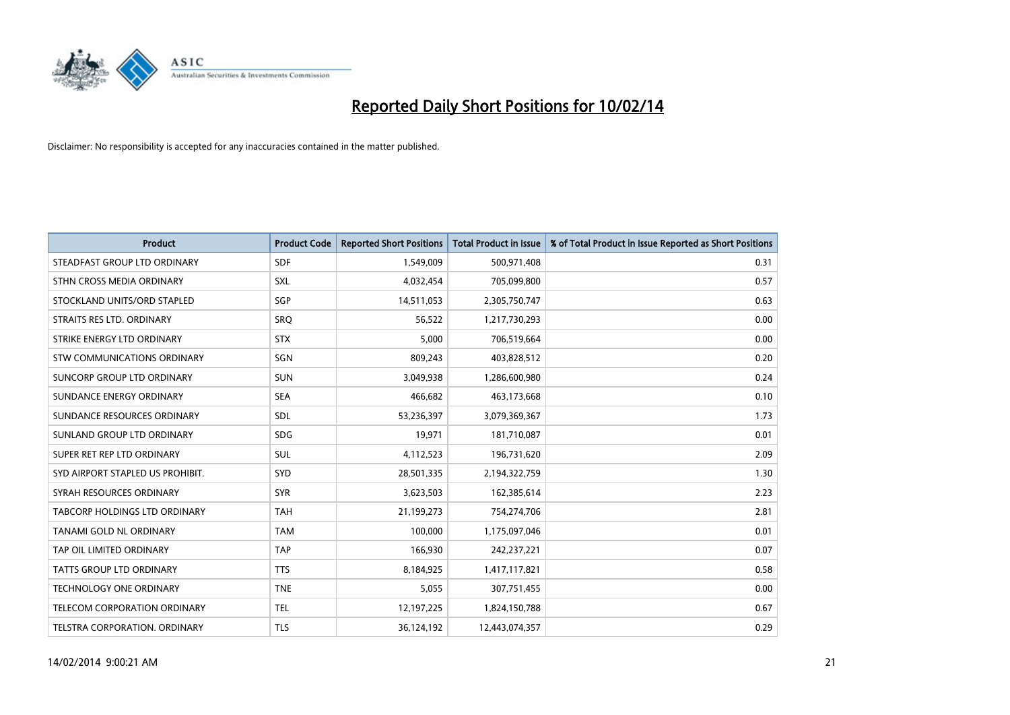

| <b>Product</b>                       | <b>Product Code</b> | <b>Reported Short Positions</b> | <b>Total Product in Issue</b> | % of Total Product in Issue Reported as Short Positions |
|--------------------------------------|---------------------|---------------------------------|-------------------------------|---------------------------------------------------------|
| STEADFAST GROUP LTD ORDINARY         | <b>SDF</b>          | 1,549,009                       | 500,971,408                   | 0.31                                                    |
| STHN CROSS MEDIA ORDINARY            | <b>SXL</b>          | 4,032,454                       | 705,099,800                   | 0.57                                                    |
| STOCKLAND UNITS/ORD STAPLED          | SGP                 | 14,511,053                      | 2,305,750,747                 | 0.63                                                    |
| STRAITS RES LTD. ORDINARY            | <b>SRQ</b>          | 56,522                          | 1,217,730,293                 | 0.00                                                    |
| STRIKE ENERGY LTD ORDINARY           | <b>STX</b>          | 5,000                           | 706,519,664                   | 0.00                                                    |
| STW COMMUNICATIONS ORDINARY          | SGN                 | 809,243                         | 403,828,512                   | 0.20                                                    |
| SUNCORP GROUP LTD ORDINARY           | <b>SUN</b>          | 3,049,938                       | 1,286,600,980                 | 0.24                                                    |
| SUNDANCE ENERGY ORDINARY             | <b>SEA</b>          | 466,682                         | 463,173,668                   | 0.10                                                    |
| SUNDANCE RESOURCES ORDINARY          | SDL                 | 53,236,397                      | 3,079,369,367                 | 1.73                                                    |
| SUNLAND GROUP LTD ORDINARY           | <b>SDG</b>          | 19,971                          | 181,710,087                   | 0.01                                                    |
| SUPER RET REP LTD ORDINARY           | SUL                 | 4,112,523                       | 196,731,620                   | 2.09                                                    |
| SYD AIRPORT STAPLED US PROHIBIT.     | <b>SYD</b>          | 28,501,335                      | 2,194,322,759                 | 1.30                                                    |
| SYRAH RESOURCES ORDINARY             | <b>SYR</b>          | 3,623,503                       | 162,385,614                   | 2.23                                                    |
| <b>TABCORP HOLDINGS LTD ORDINARY</b> | <b>TAH</b>          | 21,199,273                      | 754,274,706                   | 2.81                                                    |
| TANAMI GOLD NL ORDINARY              | <b>TAM</b>          | 100,000                         | 1,175,097,046                 | 0.01                                                    |
| TAP OIL LIMITED ORDINARY             | <b>TAP</b>          | 166,930                         | 242,237,221                   | 0.07                                                    |
| TATTS GROUP LTD ORDINARY             | <b>TTS</b>          | 8,184,925                       | 1,417,117,821                 | 0.58                                                    |
| <b>TECHNOLOGY ONE ORDINARY</b>       | <b>TNE</b>          | 5,055                           | 307,751,455                   | 0.00                                                    |
| TELECOM CORPORATION ORDINARY         | <b>TEL</b>          | 12,197,225                      | 1,824,150,788                 | 0.67                                                    |
| TELSTRA CORPORATION, ORDINARY        | <b>TLS</b>          | 36,124,192                      | 12,443,074,357                | 0.29                                                    |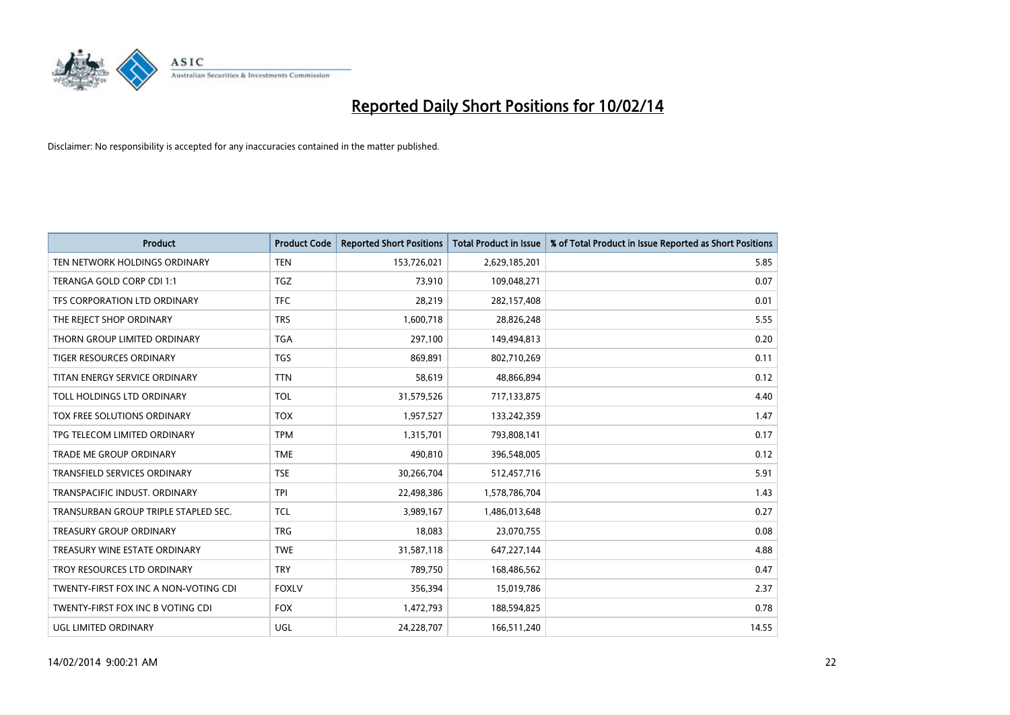

| <b>Product</b>                        | <b>Product Code</b> | <b>Reported Short Positions</b> | <b>Total Product in Issue</b> | % of Total Product in Issue Reported as Short Positions |
|---------------------------------------|---------------------|---------------------------------|-------------------------------|---------------------------------------------------------|
| TEN NETWORK HOLDINGS ORDINARY         | <b>TEN</b>          | 153,726,021                     | 2,629,185,201                 | 5.85                                                    |
| TERANGA GOLD CORP CDI 1:1             | TGZ                 | 73,910                          | 109,048,271                   | 0.07                                                    |
| TFS CORPORATION LTD ORDINARY          | <b>TFC</b>          | 28,219                          | 282,157,408                   | 0.01                                                    |
| THE REJECT SHOP ORDINARY              | <b>TRS</b>          | 1,600,718                       | 28,826,248                    | 5.55                                                    |
| THORN GROUP LIMITED ORDINARY          | <b>TGA</b>          | 297,100                         | 149,494,813                   | 0.20                                                    |
| <b>TIGER RESOURCES ORDINARY</b>       | <b>TGS</b>          | 869,891                         | 802,710,269                   | 0.11                                                    |
| TITAN ENERGY SERVICE ORDINARY         | <b>TTN</b>          | 58,619                          | 48,866,894                    | 0.12                                                    |
| TOLL HOLDINGS LTD ORDINARY            | <b>TOL</b>          | 31,579,526                      | 717,133,875                   | 4.40                                                    |
| TOX FREE SOLUTIONS ORDINARY           | <b>TOX</b>          | 1,957,527                       | 133,242,359                   | 1.47                                                    |
| TPG TELECOM LIMITED ORDINARY          | <b>TPM</b>          | 1,315,701                       | 793,808,141                   | 0.17                                                    |
| TRADE ME GROUP ORDINARY               | <b>TME</b>          | 490,810                         | 396,548,005                   | 0.12                                                    |
| <b>TRANSFIELD SERVICES ORDINARY</b>   | <b>TSE</b>          | 30,266,704                      | 512,457,716                   | 5.91                                                    |
| TRANSPACIFIC INDUST. ORDINARY         | <b>TPI</b>          | 22,498,386                      | 1,578,786,704                 | 1.43                                                    |
| TRANSURBAN GROUP TRIPLE STAPLED SEC.  | <b>TCL</b>          | 3,989,167                       | 1,486,013,648                 | 0.27                                                    |
| <b>TREASURY GROUP ORDINARY</b>        | <b>TRG</b>          | 18,083                          | 23,070,755                    | 0.08                                                    |
| TREASURY WINE ESTATE ORDINARY         | <b>TWE</b>          | 31,587,118                      | 647,227,144                   | 4.88                                                    |
| TROY RESOURCES LTD ORDINARY           | <b>TRY</b>          | 789,750                         | 168,486,562                   | 0.47                                                    |
| TWENTY-FIRST FOX INC A NON-VOTING CDI | <b>FOXLV</b>        | 356,394                         | 15,019,786                    | 2.37                                                    |
| TWENTY-FIRST FOX INC B VOTING CDI     | <b>FOX</b>          | 1,472,793                       | 188,594,825                   | 0.78                                                    |
| UGL LIMITED ORDINARY                  | UGL                 | 24,228,707                      | 166,511,240                   | 14.55                                                   |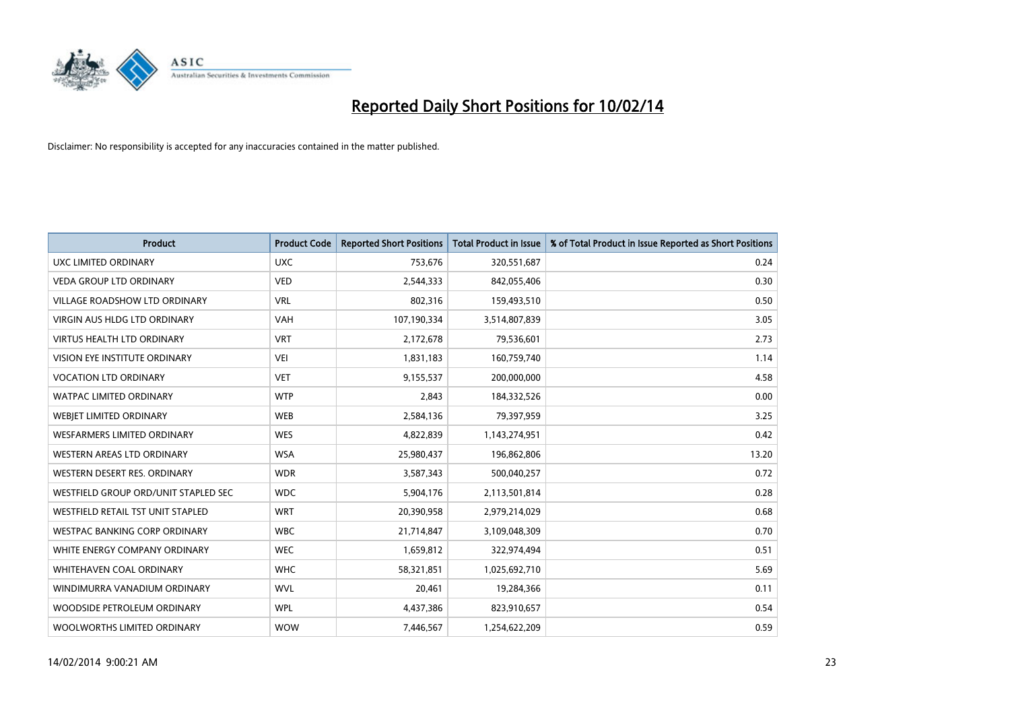

| <b>Product</b>                       | <b>Product Code</b> | <b>Reported Short Positions</b> | <b>Total Product in Issue</b> | % of Total Product in Issue Reported as Short Positions |
|--------------------------------------|---------------------|---------------------------------|-------------------------------|---------------------------------------------------------|
| UXC LIMITED ORDINARY                 | <b>UXC</b>          | 753,676                         | 320,551,687                   | 0.24                                                    |
| <b>VEDA GROUP LTD ORDINARY</b>       | <b>VED</b>          | 2,544,333                       | 842,055,406                   | 0.30                                                    |
| <b>VILLAGE ROADSHOW LTD ORDINARY</b> | <b>VRL</b>          | 802,316                         | 159,493,510                   | 0.50                                                    |
| <b>VIRGIN AUS HLDG LTD ORDINARY</b>  | <b>VAH</b>          | 107,190,334                     | 3,514,807,839                 | 3.05                                                    |
| <b>VIRTUS HEALTH LTD ORDINARY</b>    | <b>VRT</b>          | 2,172,678                       | 79,536,601                    | 2.73                                                    |
| VISION EYE INSTITUTE ORDINARY        | <b>VEI</b>          | 1,831,183                       | 160,759,740                   | 1.14                                                    |
| <b>VOCATION LTD ORDINARY</b>         | <b>VET</b>          | 9,155,537                       | 200,000,000                   | 4.58                                                    |
| <b>WATPAC LIMITED ORDINARY</b>       | <b>WTP</b>          | 2,843                           | 184,332,526                   | 0.00                                                    |
| WEBIET LIMITED ORDINARY              | <b>WEB</b>          | 2,584,136                       | 79,397,959                    | 3.25                                                    |
| <b>WESFARMERS LIMITED ORDINARY</b>   | <b>WES</b>          | 4,822,839                       | 1,143,274,951                 | 0.42                                                    |
| WESTERN AREAS LTD ORDINARY           | <b>WSA</b>          | 25,980,437                      | 196,862,806                   | 13.20                                                   |
| WESTERN DESERT RES. ORDINARY         | <b>WDR</b>          | 3,587,343                       | 500,040,257                   | 0.72                                                    |
| WESTFIELD GROUP ORD/UNIT STAPLED SEC | <b>WDC</b>          | 5,904,176                       | 2,113,501,814                 | 0.28                                                    |
| WESTFIELD RETAIL TST UNIT STAPLED    | <b>WRT</b>          | 20,390,958                      | 2,979,214,029                 | 0.68                                                    |
| <b>WESTPAC BANKING CORP ORDINARY</b> | <b>WBC</b>          | 21,714,847                      | 3,109,048,309                 | 0.70                                                    |
| WHITE ENERGY COMPANY ORDINARY        | <b>WEC</b>          | 1,659,812                       | 322,974,494                   | 0.51                                                    |
| <b>WHITEHAVEN COAL ORDINARY</b>      | <b>WHC</b>          | 58,321,851                      | 1,025,692,710                 | 5.69                                                    |
| WINDIMURRA VANADIUM ORDINARY         | <b>WVL</b>          | 20,461                          | 19,284,366                    | 0.11                                                    |
| WOODSIDE PETROLEUM ORDINARY          | <b>WPL</b>          | 4,437,386                       | 823,910,657                   | 0.54                                                    |
| WOOLWORTHS LIMITED ORDINARY          | <b>WOW</b>          | 7,446,567                       | 1,254,622,209                 | 0.59                                                    |